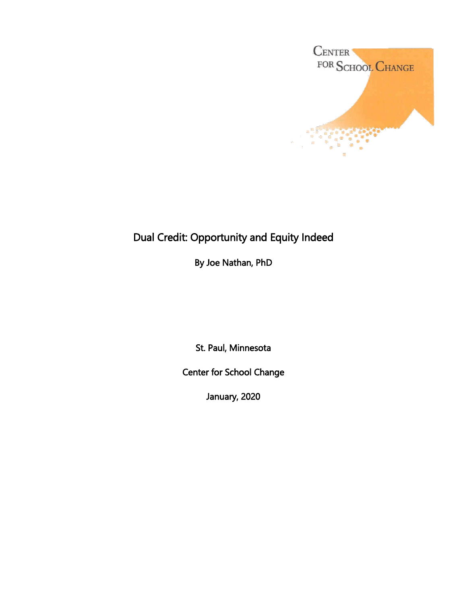

# Dual Credit: Opportunity and Equity Indeed

By Joe Nathan, PhD

St. Paul, Minnesota

Center for School Change

January, 2020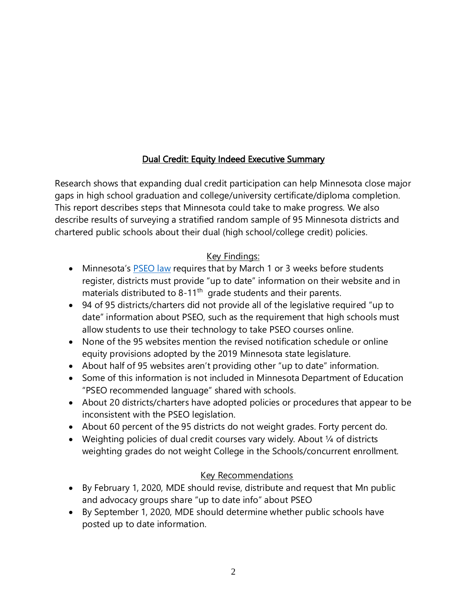# Dual Credit: Equity Indeed Executive Summary

Research shows that expanding dual credit participation can help Minnesota close major gaps in high school graduation and college/university certificate/diploma completion. This report describes steps that Minnesota could take to make progress. We also describe results of surveying a stratified random sample of 95 Minnesota districts and chartered public schools about their dual (high school/college credit) policies.

# Key Findings:

- Minnesota's **[PSEO law](https://www.revisor.mn.gov/statutes/cite/124D.09)** requires that by March 1 or 3 weeks before students register, districts must provide "up to date" information on their website and in materials distributed to 8-11<sup>th</sup> grade students and their parents.
- 94 of 95 districts/charters did not provide all of the legislative required "up to date" information about PSEO, such as the requirement that high schools must allow students to use their technology to take PSEO courses online.
- None of the 95 websites mention the revised notification schedule or online equity provisions adopted by the 2019 Minnesota state legislature.
- About half of 95 websites aren't providing other "up to date" information.
- Some of this information is not included in Minnesota Department of Education "PSEO recommended language" shared with schools.
- About 20 districts/charters have adopted policies or procedures that appear to be inconsistent with the PSEO legislation.
- About 60 percent of the 95 districts do not weight grades. Forty percent do.
- Weighting policies of dual credit courses vary widely. About  $\frac{1}{4}$  of districts weighting grades do not weight College in the Schools/concurrent enrollment.

# Key Recommendations

- By February 1, 2020, MDE should revise, distribute and request that Mn public and advocacy groups share "up to date info" about PSEO
- By September 1, 2020, MDE should determine whether public schools have posted up to date information.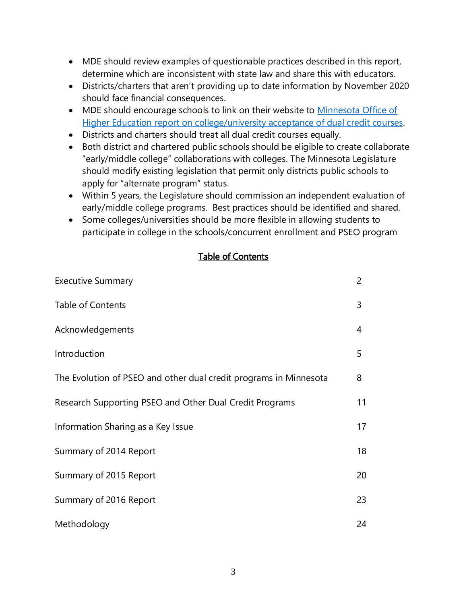- MDE should review examples of questionable practices described in this report, determine which are inconsistent with state law and share this with educators.
- Districts/charters that aren't providing up to date information by November 2020 should face financial consequences.
- MDE should encourage schools to link on their website to [Minnesota](https://www.ohe.state.mn.us/mPg.cfm?pageID=2236) Office of Higher Education report on college/university acceptance of [dual credit courses.](https://www.ohe.state.mn.us/mPg.cfm?pageID=2236)
- Districts and charters should treat all dual credit courses equally.
- Both district and chartered public schools should be eligible to create collaborate "early/middle college" collaborations with colleges. The Minnesota Legislature should modify existing legislation that permit only districts public schools to apply for "alternate program" status.
- Within 5 years, the Legislature should commission an independent evaluation of early/middle college programs. Best practices should be identified and shared.
- Some colleges/universities should be more flexible in allowing students to participate in college in the schools/concurrent enrollment and PSEO program

#### Table of Contents

| <b>Executive Summary</b>                                          | $\overline{2}$ |
|-------------------------------------------------------------------|----------------|
| <b>Table of Contents</b>                                          | 3              |
| Acknowledgements                                                  | 4              |
| Introduction                                                      | 5              |
| The Evolution of PSEO and other dual credit programs in Minnesota | 8              |
| Research Supporting PSEO and Other Dual Credit Programs           | 11             |
| Information Sharing as a Key Issue                                | 17             |
| Summary of 2014 Report                                            | 18             |
| Summary of 2015 Report                                            | 20             |
| Summary of 2016 Report                                            | 23             |
| Methodology                                                       | 24             |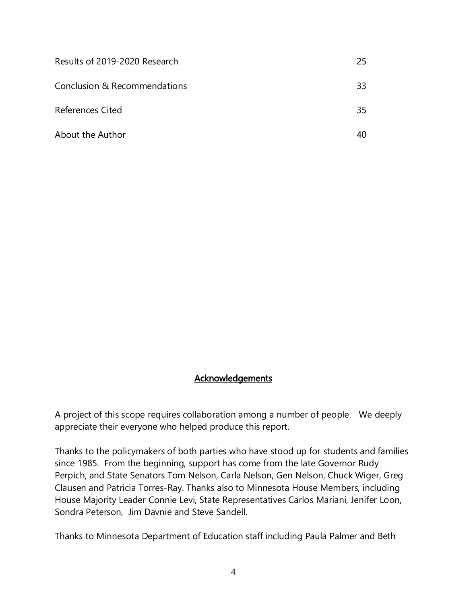| Results of 2019-2020 Research | 25. |
|-------------------------------|-----|
| Conclusion & Recommendations  | 33  |
| <b>References Cited</b>       | 35  |
| About the Author              |     |

#### **Acknowledgements**

A project of this scope requires collaboration among a number of people. We deeply appreciate their everyone who helped produce this report.

Thanks to the policymakers of both parties who have stood up for students and families since 1985. From the beginning, support has come from the late Governor Rudy Perpich, and State Senators Tom Nelson, Carla Nelson, Gen Nelson, Chuck Wiger, Greg Clausen and Patricia Torres-Ray. Thanks also to Minnesota House Members, including House Majority Leader Connie Levi, State Representatives Carlos Mariani, Jenifer Loon, Sondra Peterson, Jim Davnie and Steve Sandell.

Thanks to Minnesota Department of Education staff including Paula Palmer and Beth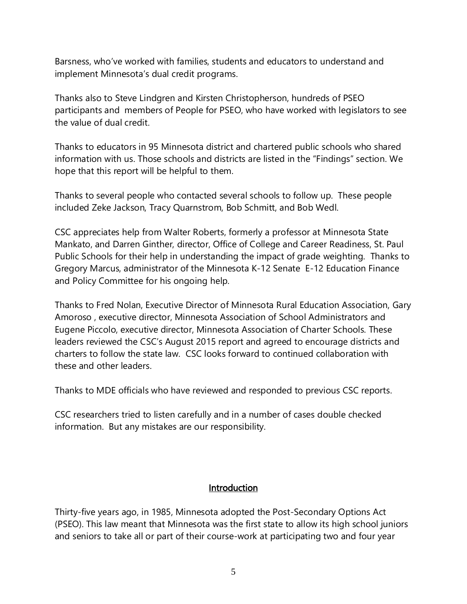Barsness, who've worked with families, students and educators to understand and implement Minnesota's dual credit programs.

Thanks also to Steve Lindgren and Kirsten Christopherson, hundreds of PSEO participants and members of People for PSEO, who have worked with legislators to see the value of dual credit.

Thanks to educators in 95 Minnesota district and chartered public schools who shared information with us. Those schools and districts are listed in the "Findings" section. We hope that this report will be helpful to them.

Thanks to several people who contacted several schools to follow up. These people included Zeke Jackson, Tracy Quarnstrom, Bob Schmitt, and Bob Wedl.

CSC appreciates help from Walter Roberts, formerly a professor at Minnesota State Mankato, and Darren Ginther, director, Office of College and Career Readiness, St. Paul Public Schools for their help in understanding the impact of grade weighting. Thanks to Gregory Marcus, administrator of the Minnesota K-12 Senate E-12 Education Finance and Policy Committee for his ongoing help.

Thanks to Fred Nolan, Executive Director of Minnesota Rural Education Association, Gary Amoroso , executive director, Minnesota Association of School Administrators and Eugene Piccolo, executive director, Minnesota Association of Charter Schools. These leaders reviewed the CSC's August 2015 report and agreed to encourage districts and charters to follow the state law. CSC looks forward to continued collaboration with these and other leaders.

Thanks to MDE officials who have reviewed and responded to previous CSC reports.

CSC researchers tried to listen carefully and in a number of cases double checked information. But any mistakes are our responsibility.

#### **Introduction**

Thirty-five years ago, in 1985, Minnesota adopted the Post-Secondary Options Act (PSEO). This law meant that Minnesota was the first state to allow its high school juniors and seniors to take all or part of their course-work at participating two and four year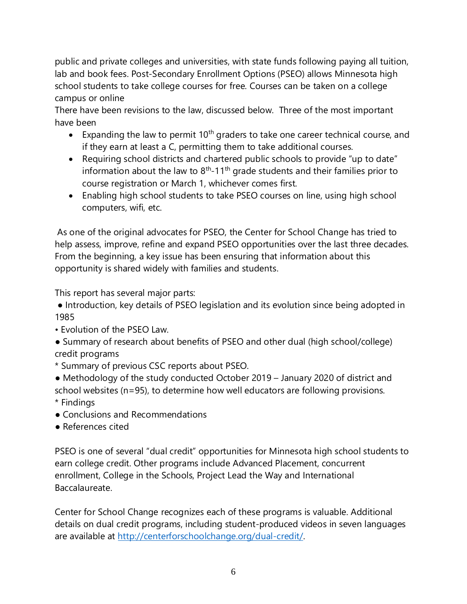public and private colleges and universities, with state funds following paying all tuition, lab and book fees. Post-Secondary Enrollment Options (PSEO) allows Minnesota high school students to take college courses for free. Courses can be taken on a college campus or online

There have been revisions to the law, discussed below. Three of the most important have been

- Expanding the law to permit  $10<sup>th</sup>$  graders to take one career technical course, and if they earn at least a C, permitting them to take additional courses.
- Requiring school districts and chartered public schools to provide "up to date" information about the law to  $8<sup>th</sup>$ -11<sup>th</sup> grade students and their families prior to course registration or March 1, whichever comes first.
- Enabling high school students to take PSEO courses on line, using high school computers, wifi, etc.

As one of the original advocates for PSEO, the Center for School Change has tried to help assess, improve, refine and expand PSEO opportunities over the last three decades. From the beginning, a key issue has been ensuring that information about this opportunity is shared widely with families and students.

This report has several major parts:

● Introduction, key details of PSEO legislation and its evolution since being adopted in 1985

- Evolution of the PSEO Law.
- Summary of research about benefits of PSEO and other dual (high school/college) credit programs
- \* Summary of previous CSC reports about PSEO.
- Methodology of the study conducted October 2019 January 2020 of district and school websites (n=95), to determine how well educators are following provisions. \* Findings
- Conclusions and Recommendations
- References cited

PSEO is one of several "dual credit" opportunities for Minnesota high school students to earn college credit. Other programs include Advanced Placement, concurrent enrollment, College in the Schools, Project Lead the Way and International Baccalaureate.

Center for School Change recognizes each of these programs is valuable. Additional details on dual credit programs, including student-produced videos in seven languages are available at [http://centerforschoolchange.org/dual-credit/.](http://centerforschoolchange.org/dual-credit/)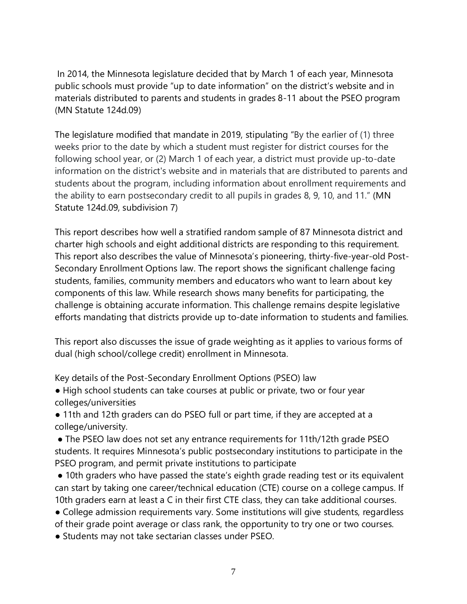In 2014, the Minnesota legislature decided that by March 1 of each year, Minnesota public schools must provide "up to date information" on the district's website and in materials distributed to parents and students in grades 8-11 about the PSEO program (MN Statute 124d.09)

The legislature modified that mandate in 2019, stipulating "By the earlier of (1) three weeks prior to the date by which a student must register for district courses for the following school year, or (2) March 1 of each year, a district must provide up-to-date information on the district's website and in materials that are distributed to parents and students about the program, including information about enrollment requirements and the ability to earn postsecondary credit to all pupils in grades 8, 9, 10, and 11." (MN Statute 124d.09, subdivision 7)

This report describes how well a stratified random sample of 87 Minnesota district and charter high schools and eight additional districts are responding to this requirement. This report also describes the value of Minnesota's pioneering, thirty-five-year-old Post-Secondary Enrollment Options law. The report shows the significant challenge facing students, families, community members and educators who want to learn about key components of this law. While research shows many benefits for participating, the challenge is obtaining accurate information. This challenge remains despite legislative efforts mandating that districts provide up to-date information to students and families.

This report also discusses the issue of grade weighting as it applies to various forms of dual (high school/college credit) enrollment in Minnesota.

Key details of the Post-Secondary Enrollment Options (PSEO) law

● High school students can take courses at public or private, two or four year colleges/universities

● 11th and 12th graders can do PSEO full or part time, if they are accepted at a college/university.

• The PSEO law does not set any entrance requirements for 11th/12th grade PSEO students. It requires Minnesota's public postsecondary institutions to participate in the PSEO program, and permit private institutions to participate

• 10th graders who have passed the state's eighth grade reading test or its equivalent can start by taking one career/technical education (CTE) course on a college campus. If 10th graders earn at least a C in their first CTE class, they can take additional courses.

• College admission requirements vary. Some institutions will give students, regardless of their grade point average or class rank, the opportunity to try one or two courses.

● Students may not take sectarian classes under PSEO.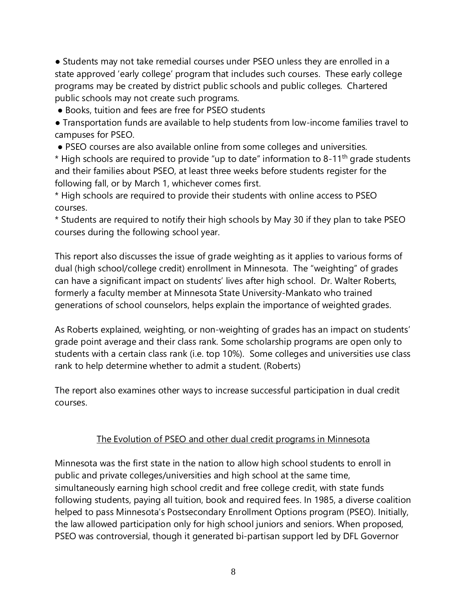● Students may not take remedial courses under PSEO unless they are enrolled in a state approved 'early college' program that includes such courses. These early college programs may be created by district public schools and public colleges. Chartered public schools may not create such programs.

• Books, tuition and fees are free for PSEO students

● Transportation funds are available to help students from low-income families travel to campuses for PSEO.

● PSEO courses are also available online from some colleges and universities.

 $*$  High schools are required to provide "up to date" information to 8-11<sup>th</sup> grade students and their families about PSEO, at least three weeks before students register for the following fall, or by March 1, whichever comes first.

\* High schools are required to provide their students with online access to PSEO courses.

\* Students are required to notify their high schools by May 30 if they plan to take PSEO courses during the following school year.

This report also discusses the issue of grade weighting as it applies to various forms of dual (high school/college credit) enrollment in Minnesota. The "weighting" of grades can have a significant impact on students' lives after high school. Dr. Walter Roberts, formerly a faculty member at Minnesota State University-Mankato who trained generations of school counselors, helps explain the importance of weighted grades.

As Roberts explained, weighting, or non-weighting of grades has an impact on students' grade point average and their class rank. Some scholarship programs are open only to students with a certain class rank (i.e. top 10%). Some colleges and universities use class rank to help determine whether to admit a student. (Roberts)

The report also examines other ways to increase successful participation in dual credit courses.

# The Evolution of PSEO and other dual credit programs in Minnesota

Minnesota was the first state in the nation to allow high school students to enroll in public and private colleges/universities and high school at the same time, simultaneously earning high school credit and free college credit, with state funds following students, paying all tuition, book and required fees. In 1985, a diverse coalition helped to pass Minnesota's Postsecondary Enrollment Options program (PSEO). Initially, the law allowed participation only for high school juniors and seniors. When proposed, PSEO was controversial, though it generated bi-partisan support led by DFL Governor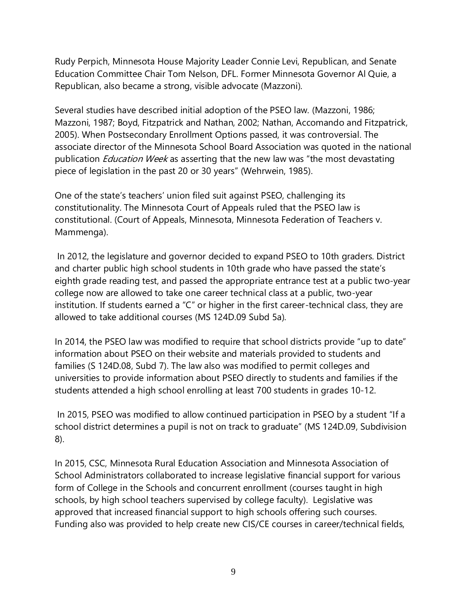Rudy Perpich, Minnesota House Majority Leader Connie Levi, Republican, and Senate Education Committee Chair Tom Nelson, DFL. Former Minnesota Governor Al Quie, a Republican, also became a strong, visible advocate (Mazzoni).

Several studies have described initial adoption of the PSEO law. (Mazzoni, 1986; Mazzoni, 1987; Boyd, Fitzpatrick and Nathan, 2002; Nathan, Accomando and Fitzpatrick, 2005). When Postsecondary Enrollment Options passed, it was controversial. The associate director of the Minnesota School Board Association was quoted in the national publication *Education Week* as asserting that the new law was "the most devastating piece of legislation in the past 20 or 30 years" (Wehrwein, 1985).

One of the state's teachers' union filed suit against PSEO, challenging its constitutionality. The Minnesota Court of Appeals ruled that the PSEO law is constitutional. (Court of Appeals, Minnesota, Minnesota Federation of Teachers v. Mammenga).

In 2012, the legislature and governor decided to expand PSEO to 10th graders. District and charter public high school students in 10th grade who have passed the state's eighth grade reading test, and passed the appropriate entrance test at a public two-year college now are allowed to take one career technical class at a public, two-year institution. If students earned a "C" or higher in the first career-technical class, they are allowed to take additional courses (MS 124D.09 Subd 5a).

In 2014, the PSEO law was modified to require that school districts provide "up to date" information about PSEO on their website and materials provided to students and families (S 124D.08, Subd 7). The law also was modified to permit colleges and universities to provide information about PSEO directly to students and families if the students attended a high school enrolling at least 700 students in grades 10-12.

In 2015, PSEO was modified to allow continued participation in PSEO by a student "If a school district determines a pupil is not on track to graduate" (MS 124D.09, Subdivision 8).

In 2015, CSC, Minnesota Rural Education Association and Minnesota Association of School Administrators collaborated to increase legislative financial support for various form of College in the Schools and concurrent enrollment (courses taught in high schools, by high school teachers supervised by college faculty). Legislative was approved that increased financial support to high schools offering such courses. Funding also was provided to help create new CIS/CE courses in career/technical fields,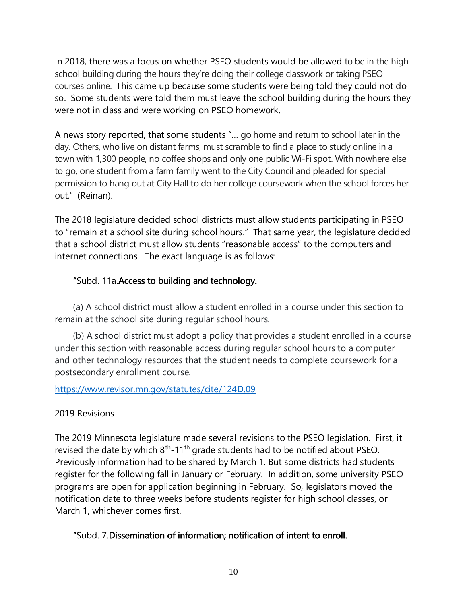In 2018, there was a focus on whether PSEO students would be allowed to be in the high school building during the hours they're doing their college classwork or taking PSEO courses online. This came up because some students were being told they could not do so. Some students were told them must leave the school building during the hours they were not in class and were working on PSEO homework.

A news story reported, that some students "… go home and return to school later in the day. Others, who live on distant farms, must scramble to find a place to study online in a town with 1,300 people, no coffee shops and only one public Wi-Fi spot. With nowhere else to go, one student from a farm family went to the City Council and pleaded for special permission to hang out at City Hall to do her college coursework when the school forces her out." (Reinan).

The 2018 legislature decided school districts must allow students participating in PSEO to "remain at a school site during school hours." That same year, the legislature decided that a school district must allow students "reasonable access" to the computers and internet connections. The exact language is as follows:

# "Subd. 11a.Access to building and technology.

(a) A school district must allow a student enrolled in a course under this section to remain at the school site during regular school hours.

(b) A school district must adopt a policy that provides a student enrolled in a course under this section with reasonable access during regular school hours to a computer and other technology resources that the student needs to complete coursework for a postsecondary enrollment course.

# <https://www.revisor.mn.gov/statutes/cite/124D.09>

# 2019 Revisions

The 2019 Minnesota legislature made several revisions to the PSEO legislation. First, it revised the date by which  $8<sup>th</sup>$ -11<sup>th</sup> grade students had to be notified about PSEO. Previously information had to be shared by March 1. But some districts had students register for the following fall in January or February. In addition, some university PSEO programs are open for application beginning in February. So, legislators moved the notification date to three weeks before students register for high school classes, or March 1, whichever comes first.

# "Subd. 7.Dissemination of information; notification of intent to enroll.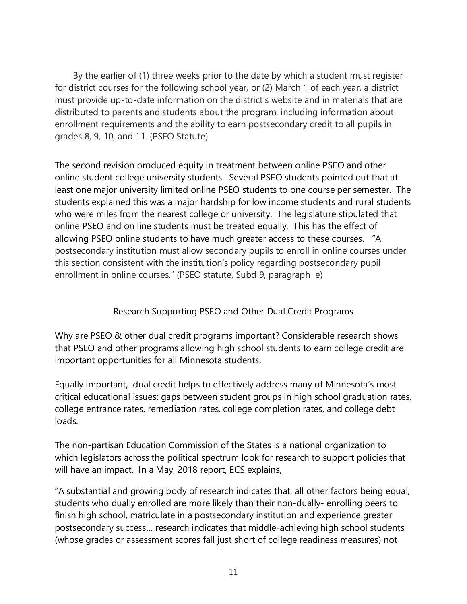By the earlier of (1) three weeks prior to the date by which a student must register for district courses for the following school year, or (2) March 1 of each year, a district must provide up-to-date information on the district's website and in materials that are distributed to parents and students about the program, including information about enrollment requirements and the ability to earn postsecondary credit to all pupils in grades 8, 9, 10, and 11. (PSEO Statute)

The second revision produced equity in treatment between online PSEO and other online student college university students. Several PSEO students pointed out that at least one major university limited online PSEO students to one course per semester. The students explained this was a major hardship for low income students and rural students who were miles from the nearest college or university. The legislature stipulated that online PSEO and on line students must be treated equally. This has the effect of allowing PSEO online students to have much greater access to these courses. "A postsecondary institution must allow secondary pupils to enroll in online courses under this section consistent with the institution's policy regarding postsecondary pupil enrollment in online courses." (PSEO statute, Subd 9, paragraph e)

# Research Supporting PSEO and Other Dual Credit Programs

Why are PSEO & other dual credit programs important? Considerable research shows that PSEO and other programs allowing high school students to earn college credit are important opportunities for all Minnesota students.

Equally important, dual credit helps to effectively address many of Minnesota's most critical educational issues: gaps between student groups in high school graduation rates, college entrance rates, remediation rates, college completion rates, and college debt loads.

The non-partisan Education Commission of the States is a national organization to which legislators across the political spectrum look for research to support policies that will have an impact. In a May, 2018 report, ECS explains,

"A substantial and growing body of research indicates that, all other factors being equal, students who dually enrolled are more likely than their non-dually- enrolling peers to finish high school, matriculate in a postsecondary institution and experience greater postsecondary success… research indicates that middle-achieving high school students (whose grades or assessment scores fall just short of college readiness measures) not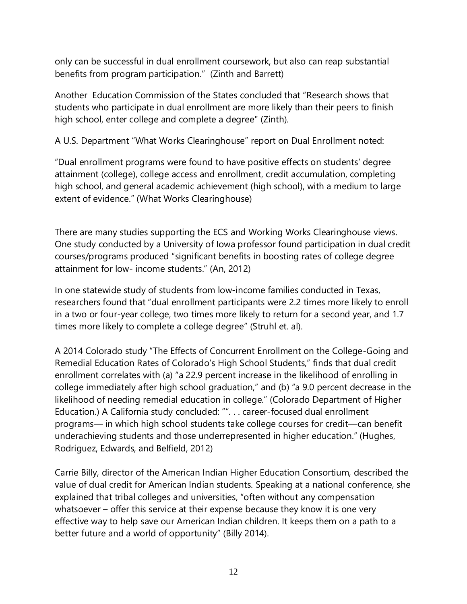only can be successful in dual enrollment coursework, but also can reap substantial benefits from program participation." (Zinth and Barrett)

Another Education Commission of the States concluded that "Research shows that students who participate in dual enrollment are more likely than their peers to finish high school, enter college and complete a degree" (Zinth).

A U.S. Department "What Works Clearinghouse" report on Dual Enrollment noted:

"Dual enrollment programs were found to have positive effects on students' degree attainment (college), college access and enrollment, credit accumulation, completing high school, and general academic achievement (high school), with a medium to large extent of evidence." (What Works Clearinghouse)

There are many studies supporting the ECS and Working Works Clearinghouse views. One study conducted by a University of Iowa professor found participation in dual credit courses/programs produced "significant benefits in boosting rates of college degree attainment for low- income students." (An, 2012)

In one statewide study of students from low-income families conducted in Texas, researchers found that "dual enrollment participants were 2.2 times more likely to enroll in a two or four-year college, two times more likely to return for a second year, and 1.7 times more likely to complete a college degree" (Struhl et. al).

A 2014 Colorado study "The Effects of Concurrent Enrollment on the College-Going and Remedial Education Rates of Colorado's High School Students," finds that dual credit enrollment correlates with (a) "a 22.9 percent increase in the likelihood of enrolling in college immediately after high school graduation," and (b) "a 9.0 percent decrease in the likelihood of needing remedial education in college." (Colorado Department of Higher Education.) A California study concluded: "". . . career-focused dual enrollment programs— in which high school students take college courses for credit—can benefit underachieving students and those underrepresented in higher education." (Hughes, Rodriguez, Edwards, and Belfield, 2012)

Carrie Billy, director of the American Indian Higher Education Consortium, described the value of dual credit for American Indian students. Speaking at a national conference, she explained that tribal colleges and universities, "often without any compensation whatsoever – offer this service at their expense because they know it is one very effective way to help save our American Indian children. It keeps them on a path to a better future and a world of opportunity" (Billy 2014).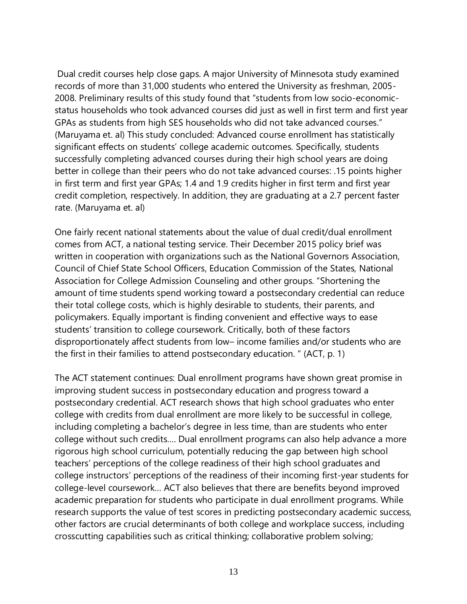Dual credit courses help close gaps. A major University of Minnesota study examined records of more than 31,000 students who entered the University as freshman, 2005- 2008. Preliminary results of this study found that "students from low socio-economicstatus households who took advanced courses did just as well in first term and first year GPAs as students from high SES households who did not take advanced courses." (Maruyama et. al) This study concluded: Advanced course enrollment has statistically significant effects on students' college academic outcomes. Specifically, students successfully completing advanced courses during their high school years are doing better in college than their peers who do not take advanced courses: .15 points higher in first term and first year GPAs; 1.4 and 1.9 credits higher in first term and first year credit completion, respectively. In addition, they are graduating at a 2.7 percent faster rate. (Maruyama et. al)

One fairly recent national statements about the value of dual credit/dual enrollment comes from ACT, a national testing service. Their December 2015 policy brief was written in cooperation with organizations such as the National Governors Association, Council of Chief State School Officers, Education Commission of the States, National Association for College Admission Counseling and other groups. "Shortening the amount of time students spend working toward a postsecondary credential can reduce their total college costs, which is highly desirable to students, their parents, and policymakers. Equally important is finding convenient and effective ways to ease students' transition to college coursework. Critically, both of these factors disproportionately affect students from low– income families and/or students who are the first in their families to attend postsecondary education. " (ACT, p. 1)

The ACT statement continues: Dual enrollment programs have shown great promise in improving student success in postsecondary education and progress toward a postsecondary credential. ACT research shows that high school graduates who enter college with credits from dual enrollment are more likely to be successful in college, including completing a bachelor's degree in less time, than are students who enter college without such credits…. Dual enrollment programs can also help advance a more rigorous high school curriculum, potentially reducing the gap between high school teachers' perceptions of the college readiness of their high school graduates and college instructors' perceptions of the readiness of their incoming first-year students for college-level coursework… ACT also believes that there are benefits beyond improved academic preparation for students who participate in dual enrollment programs. While research supports the value of test scores in predicting postsecondary academic success, other factors are crucial determinants of both college and workplace success, including crosscutting capabilities such as critical thinking; collaborative problem solving;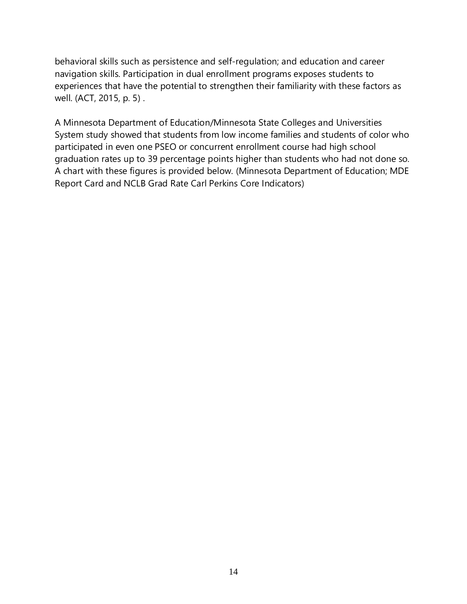behavioral skills such as persistence and self-regulation; and education and career navigation skills. Participation in dual enrollment programs exposes students to experiences that have the potential to strengthen their familiarity with these factors as well. (ACT, 2015, p. 5) .

A Minnesota Department of Education/Minnesota State Colleges and Universities System study showed that students from low income families and students of color who participated in even one PSEO or concurrent enrollment course had high school graduation rates up to 39 percentage points higher than students who had not done so. A chart with these figures is provided below. (Minnesota Department of Education; MDE Report Card and NCLB Grad Rate Carl Perkins Core Indicators)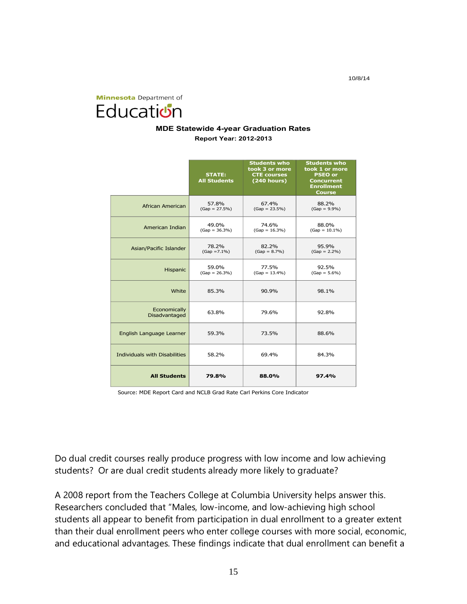10/8/14

**Minnesota** Department of Education

#### **MDE Statewide 4-year Graduation Rates Report Year: 2012-2013**

|                                      | <b>STATE:</b><br><b>All Students</b> | <b>Students who</b><br>took 3 or more<br><b>CTE courses</b><br>(240 hours) | <b>Students who</b><br>took 1 or more<br><b>PSEO or</b><br><b>Concurrent</b><br><b>Enrollment</b><br><b>Course</b> |
|--------------------------------------|--------------------------------------|----------------------------------------------------------------------------|--------------------------------------------------------------------------------------------------------------------|
| African American                     | 57.8%<br>$(Gap = 27.5%)$             | 67.4%<br>$(Gap = 23.5%)$                                                   | 88.2%<br>$(Gap = 9.9\%)$                                                                                           |
| American Indian                      | 49.0%<br>$(Gap = 36.3\%)$            | 74.6%<br>$(Gap = 16.3\%)$                                                  | 88.0%<br>$(Gap = 10.1\%)$                                                                                          |
| Asian/Pacific Islander               | 78.2%<br>$(Gap = 7.1\%)$             | 82.2%<br>$(Gap = 8.7%)$                                                    | 95.9%<br>$(Gap = 2.2\%)$                                                                                           |
| Hispanic                             | 59.0%<br>$(Gap = 26.3%)$             | 77.5%<br>$(Gap = 13.4\%)$                                                  | 92.5%<br>$(Gap = 5.6\%)$                                                                                           |
| White                                | 85.3%                                | 90.9%                                                                      | 98.1%                                                                                                              |
| Economically<br>Disadvantaged        | 63.8%                                | 79.6%                                                                      | 92.8%                                                                                                              |
| English Language Learner             | 59.3%                                | 73.5%                                                                      | 88.6%                                                                                                              |
| <b>Individuals with Disabilities</b> | 58.2%                                | 69.4%                                                                      | 84.3%                                                                                                              |
| <b>All Students</b>                  | 79.8%                                | 88.0%                                                                      | 97.4%                                                                                                              |

Source: MDE Report Card and NCLB Grad Rate Carl Perkins Core Indicator

Do dual credit courses really produce progress with low income and low achieving students? Or are dual credit students already more likely to graduate?

A 2008 report from the Teachers College at Columbia University helps answer this. Researchers concluded that "Males, low-income, and low-achieving high school students all appear to benefit from participation in dual enrollment to a greater extent than their dual enrollment peers who enter college courses with more social, economic, and educational advantages. These findings indicate that dual enrollment can benefit a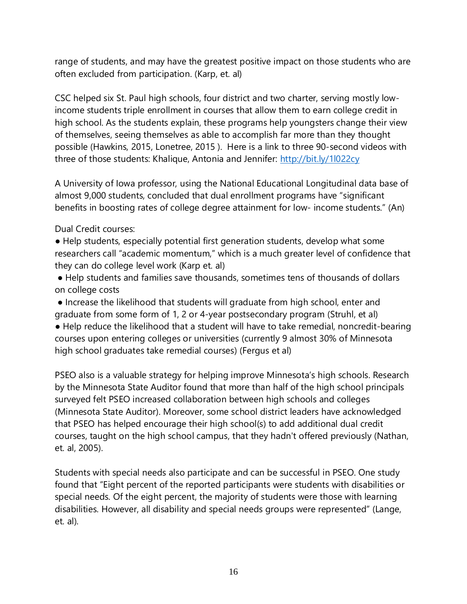range of students, and may have the greatest positive impact on those students who are often excluded from participation. (Karp, et. al)

CSC helped six St. Paul high schools, four district and two charter, serving mostly lowincome students triple enrollment in courses that allow them to earn college credit in high school. As the students explain, these programs help youngsters change their view of themselves, seeing themselves as able to accomplish far more than they thought possible (Hawkins, 2015, Lonetree, 2015 ). Here is a link to three 90-second videos with three of those students: Khalique, Antonia and Jennifer:<http://bit.ly/1l022cy>

A University of Iowa professor, using the National Educational Longitudinal data base of almost 9,000 students, concluded that dual enrollment programs have "significant benefits in boosting rates of college degree attainment for low- income students." (An)

Dual Credit courses:

● Help students, especially potential first generation students, develop what some researchers call "academic momentum," which is a much greater level of confidence that they can do college level work (Karp et. al)

● Help students and families save thousands, sometimes tens of thousands of dollars on college costs

● Increase the likelihood that students will graduate from high school, enter and graduate from some form of 1, 2 or 4-year postsecondary program (Struhl, et al) ● Help reduce the likelihood that a student will have to take remedial, noncredit-bearing courses upon entering colleges or universities (currently 9 almost 30% of Minnesota high school graduates take remedial courses) (Fergus et al)

PSEO also is a valuable strategy for helping improve Minnesota's high schools. Research by the Minnesota State Auditor found that more than half of the high school principals surveyed felt PSEO increased collaboration between high schools and colleges (Minnesota State Auditor). Moreover, some school district leaders have acknowledged that PSEO has helped encourage their high school(s) to add additional dual credit courses, taught on the high school campus, that they hadn't offered previously (Nathan, et. al, 2005).

Students with special needs also participate and can be successful in PSEO. One study found that "Eight percent of the reported participants were students with disabilities or special needs. Of the eight percent, the majority of students were those with learning disabilities. However, all disability and special needs groups were represented" (Lange, et. al).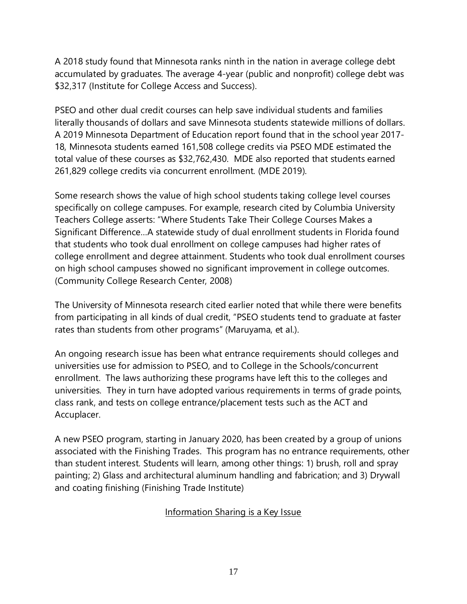A 2018 study found that Minnesota ranks ninth in the nation in average college debt accumulated by graduates. The average 4-year (public and nonprofit) college debt was \$32,317 (Institute for College Access and Success).

PSEO and other dual credit courses can help save individual students and families literally thousands of dollars and save Minnesota students statewide millions of dollars. A 2019 Minnesota Department of Education report found that in the school year 2017- 18, Minnesota students earned 161,508 college credits via PSEO MDE estimated the total value of these courses as \$32,762,430. MDE also reported that students earned 261,829 college credits via concurrent enrollment. (MDE 2019).

Some research shows the value of high school students taking college level courses specifically on college campuses. For example, research cited by Columbia University Teachers College asserts: "Where Students Take Their College Courses Makes a Significant Difference…A statewide study of dual enrollment students in Florida found that students who took dual enrollment on college campuses had higher rates of college enrollment and degree attainment. Students who took dual enrollment courses on high school campuses showed no significant improvement in college outcomes. (Community College Research Center, 2008)

The University of Minnesota research cited earlier noted that while there were benefits from participating in all kinds of dual credit, "PSEO students tend to graduate at faster rates than students from other programs" (Maruyama, et al.).

An ongoing research issue has been what entrance requirements should colleges and universities use for admission to PSEO, and to College in the Schools/concurrent enrollment. The laws authorizing these programs have left this to the colleges and universities. They in turn have adopted various requirements in terms of grade points, class rank, and tests on college entrance/placement tests such as the ACT and Accuplacer.

A new PSEO program, starting in January 2020, has been created by a group of unions associated with the Finishing Trades. This program has no entrance requirements, other than student interest. Students will learn, among other things: 1) brush, roll and spray painting; 2) Glass and architectural aluminum handling and fabrication; and 3) Drywall and coating finishing (Finishing Trade Institute)

#### Information Sharing is a Key Issue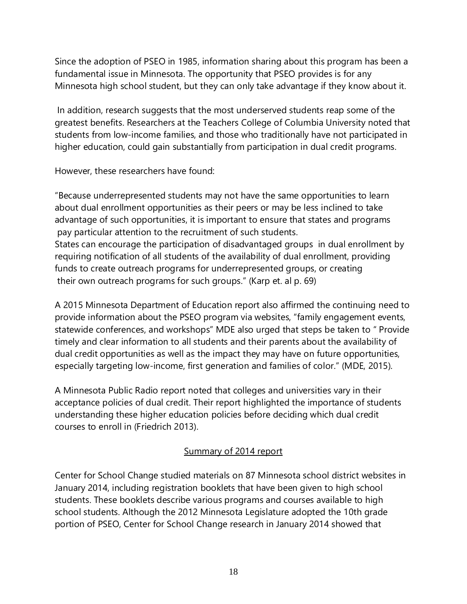Since the adoption of PSEO in 1985, information sharing about this program has been a fundamental issue in Minnesota. The opportunity that PSEO provides is for any Minnesota high school student, but they can only take advantage if they know about it.

In addition, research suggests that the most underserved students reap some of the greatest benefits. Researchers at the Teachers College of Columbia University noted that students from low-income families, and those who traditionally have not participated in higher education, could gain substantially from participation in dual credit programs.

However, these researchers have found:

"Because underrepresented students may not have the same opportunities to learn about dual enrollment opportunities as their peers or may be less inclined to take advantage of such opportunities, it is important to ensure that states and programs pay particular attention to the recruitment of such students. States can encourage the participation of disadvantaged groups in dual enrollment by requiring notification of all students of the availability of dual enrollment, providing funds to create outreach programs for underrepresented groups, or creating

their own outreach programs for such groups." (Karp et. al p. 69)

A 2015 Minnesota Department of Education report also affirmed the continuing need to provide information about the PSEO program via websites, "family engagement events, statewide conferences, and workshops" MDE also urged that steps be taken to " Provide timely and clear information to all students and their parents about the availability of dual credit opportunities as well as the impact they may have on future opportunities, especially targeting low-income, first generation and families of color." (MDE, 2015).

A Minnesota Public Radio report noted that colleges and universities vary in their acceptance policies of dual credit. Their report highlighted the importance of students understanding these higher education policies before deciding which dual credit courses to enroll in (Friedrich 2013).

# Summary of 2014 report

Center for School Change studied materials on 87 Minnesota school district websites in January 2014, including registration booklets that have been given to high school students. These booklets describe various programs and courses available to high school students. Although the 2012 Minnesota Legislature adopted the 10th grade portion of PSEO, Center for School Change research in January 2014 showed that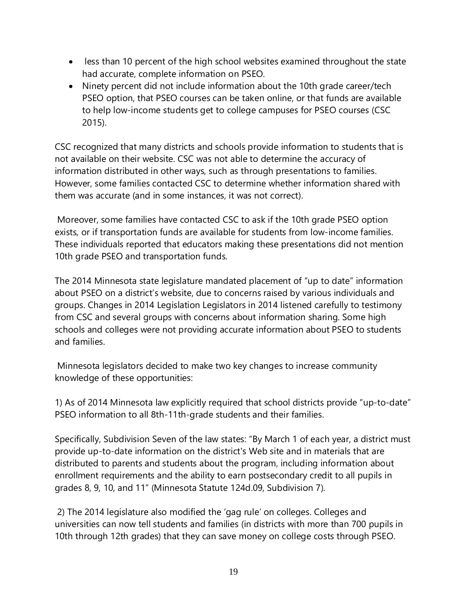- less than 10 percent of the high school websites examined throughout the state had accurate, complete information on PSEO.
- Ninety percent did not include information about the 10th grade career/tech PSEO option, that PSEO courses can be taken online, or that funds are available to help low-income students get to college campuses for PSEO courses (CSC 2015).

CSC recognized that many districts and schools provide information to students that is not available on their website. CSC was not able to determine the accuracy of information distributed in other ways, such as through presentations to families. However, some families contacted CSC to determine whether information shared with them was accurate (and in some instances, it was not correct).

Moreover, some families have contacted CSC to ask if the 10th grade PSEO option exists, or if transportation funds are available for students from low-income families. These individuals reported that educators making these presentations did not mention 10th grade PSEO and transportation funds.

The 2014 Minnesota state legislature mandated placement of "up to date" information about PSEO on a district's website, due to concerns raised by various individuals and groups. Changes in 2014 Legislation Legislators in 2014 listened carefully to testimony from CSC and several groups with concerns about information sharing. Some high schools and colleges were not providing accurate information about PSEO to students and families.

Minnesota legislators decided to make two key changes to increase community knowledge of these opportunities:

1) As of 2014 Minnesota law explicitly required that school districts provide "up-to-date" PSEO information to all 8th-11th-grade students and their families.

Specifically, Subdivision Seven of the law states: "By March 1 of each year, a district must provide up-to-date information on the district's Web site and in materials that are distributed to parents and students about the program, including information about enrollment requirements and the ability to earn postsecondary credit to all pupils in grades 8, 9, 10, and 11" (Minnesota Statute 124d.09, Subdivision 7).

2) The 2014 legislature also modified the 'gag rule' on colleges. Colleges and universities can now tell students and families (in districts with more than 700 pupils in 10th through 12th grades) that they can save money on college costs through PSEO.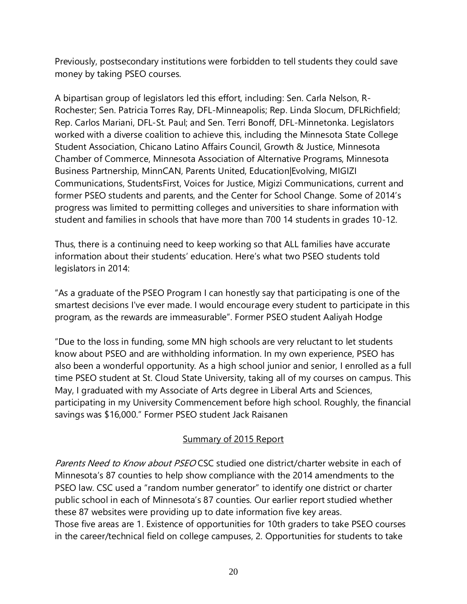Previously, postsecondary institutions were forbidden to tell students they could save money by taking PSEO courses.

A bipartisan group of legislators led this effort, including: Sen. Carla Nelson, R-Rochester; Sen. Patricia Torres Ray, DFL-Minneapolis; Rep. Linda Slocum, DFLRichfield; Rep. Carlos Mariani, DFL-St. Paul; and Sen. Terri Bonoff, DFL-Minnetonka. Legislators worked with a diverse coalition to achieve this, including the Minnesota State College Student Association, Chicano Latino Affairs Council, Growth & Justice, Minnesota Chamber of Commerce, Minnesota Association of Alternative Programs, Minnesota Business Partnership, MinnCAN, Parents United, Education|Evolving, MIGIZI Communications, StudentsFirst, Voices for Justice, Migizi Communications, current and former PSEO students and parents, and the Center for School Change. Some of 2014's progress was limited to permitting colleges and universities to share information with student and families in schools that have more than 700 14 students in grades 10-12.

Thus, there is a continuing need to keep working so that ALL families have accurate information about their students' education. Here's what two PSEO students told legislators in 2014:

"As a graduate of the PSEO Program I can honestly say that participating is one of the smartest decisions I've ever made. I would encourage every student to participate in this program, as the rewards are immeasurable". Former PSEO student Aaliyah Hodge

"Due to the loss in funding, some MN high schools are very reluctant to let students know about PSEO and are withholding information. In my own experience, PSEO has also been a wonderful opportunity. As a high school junior and senior, I enrolled as a full time PSEO student at St. Cloud State University, taking all of my courses on campus. This May, I graduated with my Associate of Arts degree in Liberal Arts and Sciences, participating in my University Commencement before high school. Roughly, the financial savings was \$16,000." Former PSEO student Jack Raisanen

# Summary of 2015 Report

Parents Need to Know about PSEO CSC studied one district/charter website in each of Minnesota's 87 counties to help show compliance with the 2014 amendments to the PSEO law. CSC used a "random number generator" to identify one district or charter public school in each of Minnesota's 87 counties. Our earlier report studied whether these 87 websites were providing up to date information five key areas. Those five areas are 1. Existence of opportunities for 10th graders to take PSEO courses in the career/technical field on college campuses, 2. Opportunities for students to take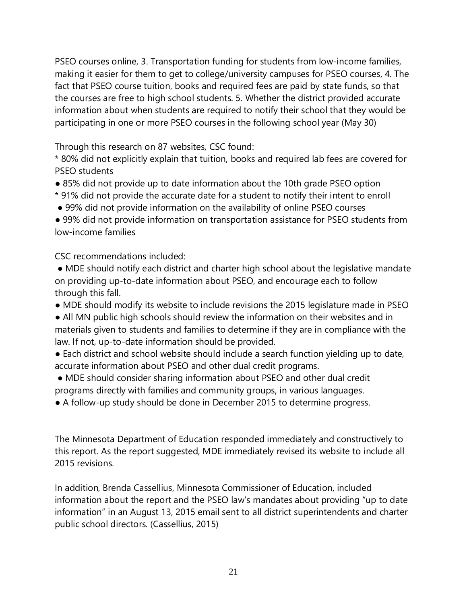PSEO courses online, 3. Transportation funding for students from low-income families, making it easier for them to get to college/university campuses for PSEO courses, 4. The fact that PSEO course tuition, books and required fees are paid by state funds, so that the courses are free to high school students. 5. Whether the district provided accurate information about when students are required to notify their school that they would be participating in one or more PSEO courses in the following school year (May 30)

Through this research on 87 websites, CSC found:

\* 80% did not explicitly explain that tuition, books and required lab fees are covered for PSEO students

- 85% did not provide up to date information about the 10th grade PSEO option
- \* 91% did not provide the accurate date for a student to notify their intent to enroll
- 99% did not provide information on the availability of online PSEO courses

● 99% did not provide information on transportation assistance for PSEO students from low-income families

CSC recommendations included:

● MDE should notify each district and charter high school about the legislative mandate on providing up-to-date information about PSEO, and encourage each to follow through this fall.

● MDE should modify its website to include revisions the 2015 legislature made in PSEO

● All MN public high schools should review the information on their websites and in materials given to students and families to determine if they are in compliance with the law. If not, up-to-date information should be provided.

• Each district and school website should include a search function yielding up to date, accurate information about PSEO and other dual credit programs.

- MDE should consider sharing information about PSEO and other dual credit programs directly with families and community groups, in various languages.
- A follow-up study should be done in December 2015 to determine progress.

The Minnesota Department of Education responded immediately and constructively to this report. As the report suggested, MDE immediately revised its website to include all 2015 revisions.

In addition, Brenda Cassellius, Minnesota Commissioner of Education, included information about the report and the PSEO law's mandates about providing "up to date information" in an August 13, 2015 email sent to all district superintendents and charter public school directors. (Cassellius, 2015)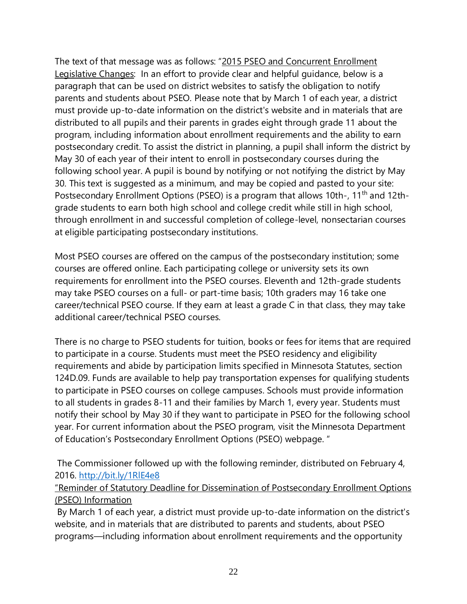The text of that message was as follows: "2015 PSEO and Concurrent Enrollment Legislative Changes: In an effort to provide clear and helpful guidance, below is a paragraph that can be used on district websites to satisfy the obligation to notify parents and students about PSEO. Please note that by March 1 of each year, a district must provide up-to-date information on the district's website and in materials that are distributed to all pupils and their parents in grades eight through grade 11 about the program, including information about enrollment requirements and the ability to earn postsecondary credit. To assist the district in planning, a pupil shall inform the district by May 30 of each year of their intent to enroll in postsecondary courses during the following school year. A pupil is bound by notifying or not notifying the district by May 30. This text is suggested as a minimum, and may be copied and pasted to your site: Postsecondary Enrollment Options (PSEO) is a program that allows 10th-, 11<sup>th</sup> and 12thgrade students to earn both high school and college credit while still in high school, through enrollment in and successful completion of college-level, nonsectarian courses at eligible participating postsecondary institutions.

Most PSEO courses are offered on the campus of the postsecondary institution; some courses are offered online. Each participating college or university sets its own requirements for enrollment into the PSEO courses. Eleventh and 12th-grade students may take PSEO courses on a full- or part-time basis; 10th graders may 16 take one career/technical PSEO course. If they earn at least a grade C in that class, they may take additional career/technical PSEO courses.

There is no charge to PSEO students for tuition, books or fees for items that are required to participate in a course. Students must meet the PSEO residency and eligibility requirements and abide by participation limits specified in Minnesota Statutes, section 124D.09. Funds are available to help pay transportation expenses for qualifying students to participate in PSEO courses on college campuses. Schools must provide information to all students in grades 8-11 and their families by March 1, every year. Students must notify their school by May 30 if they want to participate in PSEO for the following school year. For current information about the PSEO program, visit the Minnesota Department of Education's Postsecondary Enrollment Options (PSEO) webpage. "

The Commissioner followed up with the following reminder, distributed on February 4, 2016.<http://bit.ly/1RlE4e8>

"Reminder of Statutory Deadline for Dissemination of Postsecondary Enrollment Options (PSEO) Information

By March 1 of each year, a district must provide up-to-date information on the district's website, and in materials that are distributed to parents and students, about PSEO programs—including information about enrollment requirements and the opportunity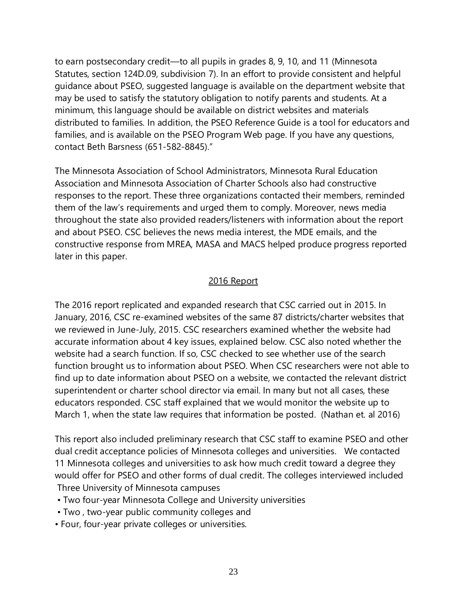to earn postsecondary credit—to all pupils in grades 8, 9, 10, and 11 (Minnesota Statutes, section 124D.09, subdivision 7). In an effort to provide consistent and helpful guidance about PSEO, suggested language is available on the department website that may be used to satisfy the statutory obligation to notify parents and students. At a minimum, this language should be available on district websites and materials distributed to families. In addition, the PSEO Reference Guide is a tool for educators and families, and is available on the PSEO Program Web page. If you have any questions, contact Beth Barsness (651-582-8845)."

The Minnesota Association of School Administrators, Minnesota Rural Education Association and Minnesota Association of Charter Schools also had constructive responses to the report. These three organizations contacted their members, reminded them of the law's requirements and urged them to comply. Moreover, news media throughout the state also provided readers/listeners with information about the report and about PSEO. CSC believes the news media interest, the MDE emails, and the constructive response from MREA, MASA and MACS helped produce progress reported later in this paper.

#### 2016 Report

The 2016 report replicated and expanded research that CSC carried out in 2015. In January, 2016, CSC re-examined websites of the same 87 districts/charter websites that we reviewed in June-July, 2015. CSC researchers examined whether the website had accurate information about 4 key issues, explained below. CSC also noted whether the website had a search function. If so, CSC checked to see whether use of the search function brought us to information about PSEO. When CSC researchers were not able to find up to date information about PSEO on a website, we contacted the relevant district superintendent or charter school director via email. In many but not all cases, these educators responded. CSC staff explained that we would monitor the website up to March 1, when the state law requires that information be posted. (Nathan et. al 2016)

This report also included preliminary research that CSC staff to examine PSEO and other dual credit acceptance policies of Minnesota colleges and universities. We contacted 11 Minnesota colleges and universities to ask how much credit toward a degree they would offer for PSEO and other forms of dual credit. The colleges interviewed included Three University of Minnesota campuses

- Two four-year Minnesota College and University universities
- Two , two-year public community colleges and
- Four, four-year private colleges or universities.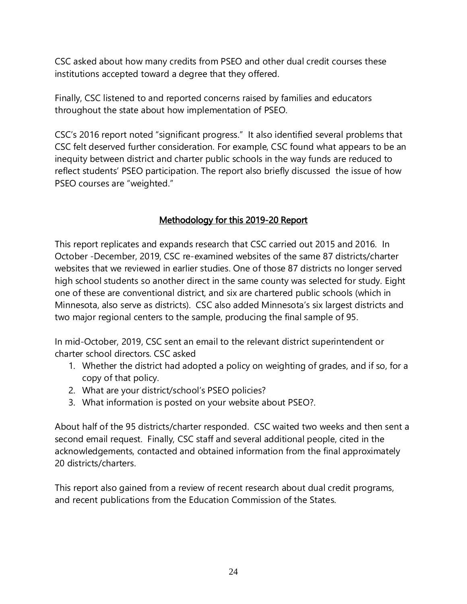CSC asked about how many credits from PSEO and other dual credit courses these institutions accepted toward a degree that they offered.

Finally, CSC listened to and reported concerns raised by families and educators throughout the state about how implementation of PSEO.

CSC's 2016 report noted "significant progress." It also identified several problems that CSC felt deserved further consideration. For example, CSC found what appears to be an inequity between district and charter public schools in the way funds are reduced to reflect students' PSEO participation. The report also briefly discussed the issue of how PSEO courses are "weighted."

# Methodology for this 2019-20 Report

This report replicates and expands research that CSC carried out 2015 and 2016. In October -December, 2019, CSC re-examined websites of the same 87 districts/charter websites that we reviewed in earlier studies. One of those 87 districts no longer served high school students so another direct in the same county was selected for study. Eight one of these are conventional district, and six are chartered public schools (which in Minnesota, also serve as districts). CSC also added Minnesota's six largest districts and two major regional centers to the sample, producing the final sample of 95.

In mid-October, 2019, CSC sent an email to the relevant district superintendent or charter school directors. CSC asked

- 1. Whether the district had adopted a policy on weighting of grades, and if so, for a copy of that policy.
- 2. What are your district/school's PSEO policies?
- 3. What information is posted on your website about PSEO?.

About half of the 95 districts/charter responded. CSC waited two weeks and then sent a second email request. Finally, CSC staff and several additional people, cited in the acknowledgements, contacted and obtained information from the final approximately 20 districts/charters.

This report also gained from a review of recent research about dual credit programs, and recent publications from the Education Commission of the States.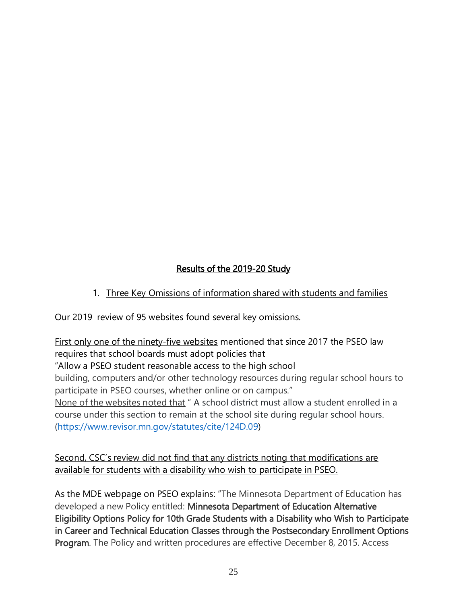# Results of the 2019-20 Study

# 1. Three Key Omissions of information shared with students and families

Our 2019 review of 95 websites found several key omissions.

First only one of the ninety-five websites mentioned that since 2017 the PSEO law requires that school boards must adopt policies that

"Allow a PSEO student reasonable access to the high school

building, computers and/or other technology resources during regular school hours to participate in PSEO courses, whether online or on campus."

None of the websites noted that " A school district must allow a student enrolled in a course under this section to remain at the school site during regular school hours. [\(https://www.revisor.mn.gov/statutes/cite/124D.09\)](https://www.revisor.mn.gov/statutes/cite/124D.09)

Second, CSC's review did not find that any districts noting that modifications are available for students with a disability who wish to participate in PSEO.

As the MDE webpage on PSEO explains: "The Minnesota Department of Education has developed a new Policy entitled: Minnesota Department of Education Alternative Eligibility Options Policy for 10th Grade Students with a Disability who Wish to Participate in Career and Technical Education Classes through the Postsecondary Enrollment Options Program. The Policy and written procedures are effective December 8, 2015. Access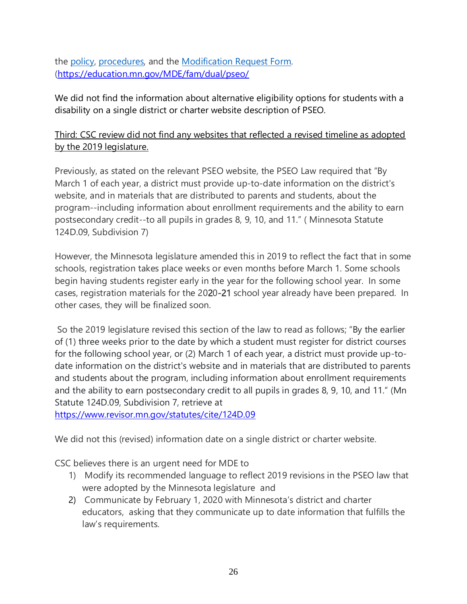the [policy,](http://education.state.mn.us/mdeprod/idcplg?IdcService=GET_FILE&dDocName=MDE034539&RevisionSelectionMethod=latestReleased&Rendition=primary) [procedures,](http://education.state.mn.us/mdeprod/idcplg?IdcService=GET_FILE&dDocName=MDE034538&RevisionSelectionMethod=latestReleased&Rendition=primary) and the [Modification Request Form.](http://education.state.mn.us/mdeprod/idcplg?IdcService=GET_FILE&dDocName=MDE034537&RevisionSelectionMethod=latestReleased&Rendition=primary) [\(https://education.mn.gov/MDE/fam/dual/pseo/](https://education.mn.gov/MDE/fam/dual/pseo/)

We did not find the information about alternative eligibility options for students with a disability on a single district or charter website description of PSEO.

# Third: CSC review did not find any websites that reflected a revised timeline as adopted by the 2019 legislature.

Previously, as stated on the relevant PSEO website, the PSEO Law required that "By March 1 of each year, a district must provide up-to-date information on the district's website, and in materials that are distributed to parents and students, about the program--including information about enrollment requirements and the ability to earn postsecondary credit--to all pupils in grades 8, 9, 10, and 11." ( Minnesota Statute 124D.09, Subdivision 7)

However, the Minnesota legislature amended this in 2019 to reflect the fact that in some schools, registration takes place weeks or even months before March 1. Some schools begin having students register early in the year for the following school year. In some cases, registration materials for the 2020-21 school year already have been prepared. In other cases, they will be finalized soon.

So the 2019 legislature revised this section of the law to read as follows; "By the earlier of (1) three weeks prior to the date by which a student must register for district courses for the following school year, or (2) March 1 of each year, a district must provide up-todate information on the district's website and in materials that are distributed to parents and students about the program, including information about enrollment requirements and the ability to earn postsecondary credit to all pupils in grades 8, 9, 10, and 11." (Mn Statute 124D.09, Subdivision 7, retrieve at

<https://www.revisor.mn.gov/statutes/cite/124D.09>

We did not this (revised) information date on a single district or charter website.

CSC believes there is an urgent need for MDE to

- 1) Modify its recommended language to reflect 2019 revisions in the PSEO law that were adopted by the Minnesota legislature and
- 2) Communicate by February 1, 2020 with Minnesota's district and charter educators, asking that they communicate up to date information that fulfills the law's requirements.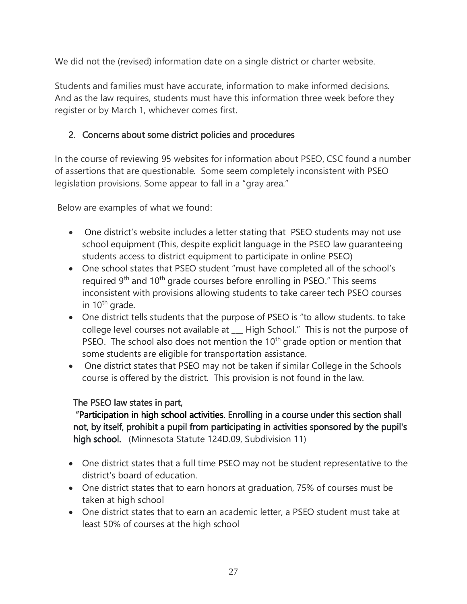We did not the (revised) information date on a single district or charter website.

Students and families must have accurate, information to make informed decisions. And as the law requires, students must have this information three week before they register or by March 1, whichever comes first.

# 2. Concerns about some district policies and procedures

In the course of reviewing 95 websites for information about PSEO, CSC found a number of assertions that are questionable. Some seem completely inconsistent with PSEO legislation provisions. Some appear to fall in a "gray area."

Below are examples of what we found:

- One district's website includes a letter stating that PSEO students may not use school equipment (This, despite explicit language in the PSEO law guaranteeing students access to district equipment to participate in online PSEO)
- One school states that PSEO student "must have completed all of the school's required 9<sup>th</sup> and 10<sup>th</sup> grade courses before enrolling in PSEO." This seems inconsistent with provisions allowing students to take career tech PSEO courses in  $10<sup>th</sup>$  grade.
- One district tells students that the purpose of PSEO is "to allow students. to take college level courses not available at \_\_\_ High School." This is not the purpose of PSEO. The school also does not mention the  $10<sup>th</sup>$  grade option or mention that some students are eligible for transportation assistance.
- One district states that PSEO may not be taken if similar College in the Schools course is offered by the district. This provision is not found in the law.

# The PSEO law states in part,

 "Participation in high school activities. Enrolling in a course under this section shall not, by itself, prohibit a pupil from participating in activities sponsored by the pupil's high school. (Minnesota Statute 124D.09, Subdivision 11)

- One district states that a full time PSEO may not be student representative to the district's board of education.
- One district states that to earn honors at graduation, 75% of courses must be taken at high school
- One district states that to earn an academic letter, a PSEO student must take at least 50% of courses at the high school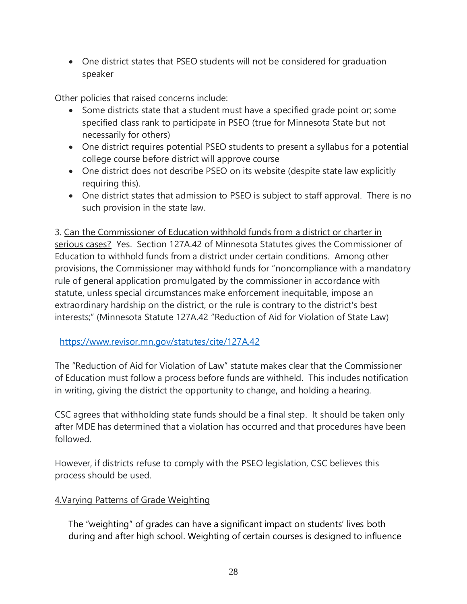• One district states that PSEO students will not be considered for graduation speaker

Other policies that raised concerns include:

- Some districts state that a student must have a specified grade point or; some specified class rank to participate in PSEO (true for Minnesota State but not necessarily for others)
- One district requires potential PSEO students to present a syllabus for a potential college course before district will approve course
- One district does not describe PSEO on its website (despite state law explicitly requiring this).
- One district states that admission to PSEO is subject to staff approval. There is no such provision in the state law.

3. Can the Commissioner of Education withhold funds from a district or charter in serious cases? Yes. Section 127A.42 of Minnesota Statutes gives the Commissioner of Education to withhold funds from a district under certain conditions. Among other provisions, the Commissioner may withhold funds for "noncompliance with a mandatory rule of general application promulgated by the commissioner in accordance with statute, unless special circumstances make enforcement inequitable, impose an extraordinary hardship on the district, or the rule is contrary to the district's best interests;" (Minnesota Statute 127A.42 "Reduction of Aid for Violation of State Law)

# <https://www.revisor.mn.gov/statutes/cite/127A.42>

The "Reduction of Aid for Violation of Law" statute makes clear that the Commissioner of Education must follow a process before funds are withheld. This includes notification in writing, giving the district the opportunity to change, and holding a hearing.

CSC agrees that withholding state funds should be a final step. It should be taken only after MDE has determined that a violation has occurred and that procedures have been followed.

However, if districts refuse to comply with the PSEO legislation, CSC believes this process should be used.

# 4.Varying Patterns of Grade Weighting

The "weighting" of grades can have a significant impact on students' lives both during and after high school. Weighting of certain courses is designed to influence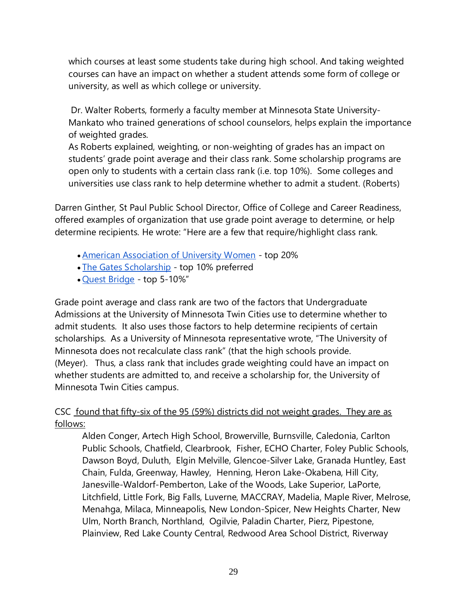which courses at least some students take during high school. And taking weighted courses can have an impact on whether a student attends some form of college or university, as well as which college or university.

Dr. Walter Roberts, formerly a faculty member at Minnesota State University-Mankato who trained generations of school counselors, helps explain the importance of weighted grades.

As Roberts explained, weighting, or non-weighting of grades has an impact on students' grade point average and their class rank. Some scholarship programs are open only to students with a certain class rank (i.e. top 10%). Some colleges and universities use class rank to help determine whether to admit a student. (Roberts)

Darren Ginther, St Paul Public School Director, Office of College and Career Readiness, offered examples of organization that use grade point average to determine, or help determine recipients. He wrote: "Here are a few that require/highlight class rank.

- [American Association of University Women](https://aauwstpaul.org/scholarship/) top 20%
- [The Gates Scholarship](https://www.thegatesscholarship.org/scholarship) top 10% preferred
- [Quest Bridge](https://www.questbridge.org/high-school-students/national-college-match/who-should-apply#eligibility) top 5-10%"

Grade point average and class rank are two of the factors that Undergraduate Admissions at the University of Minnesota Twin Cities use to determine whether to admit students. It also uses those factors to help determine recipients of certain scholarships. As a University of Minnesota representative wrote, "The University of Minnesota does not recalculate class rank" (that the high schools provide. (Meyer). Thus, a class rank that includes grade weighting could have an impact on whether students are admitted to, and receive a scholarship for, the University of Minnesota Twin Cities campus.

# CSC found that fifty-six of the 95 (59%) districts did not weight grades. They are as follows:

Alden Conger, Artech High School, Browerville, Burnsville, Caledonia, Carlton Public Schools, Chatfield, Clearbrook, Fisher, ECHO Charter, Foley Public Schools, Dawson Boyd, Duluth, Elgin Melville, Glencoe-Silver Lake, Granada Huntley, East Chain, Fulda, Greenway, Hawley, Henning, Heron Lake-Okabena, Hill City, Janesville-Waldorf-Pemberton, Lake of the Woods, Lake Superior, LaPorte, Litchfield, Little Fork, Big Falls, Luverne, MACCRAY, Madelia, Maple River, Melrose, Menahga, Milaca, Minneapolis, New London-Spicer, New Heights Charter, New Ulm, North Branch, Northland, Ogilvie, Paladin Charter, Pierz, Pipestone, Plainview, Red Lake County Central, Redwood Area School District, Riverway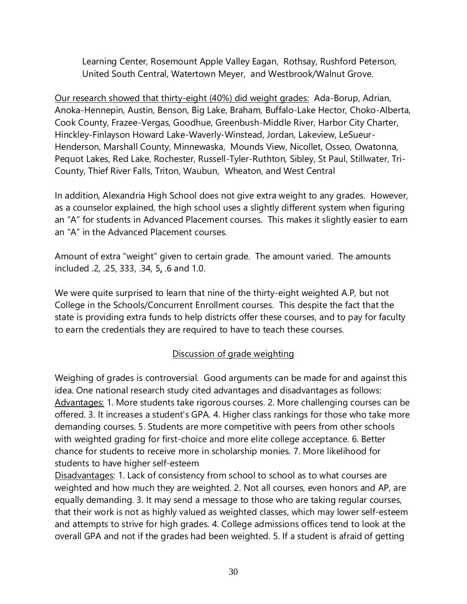Learning Center, Rosemount Apple Valley Eagan, Rothsay, Rushford Peterson, United South Central, Watertown Meyer, and Westbrook/Walnut Grove.

Our research showed that thirty-eight (40%) did weight grades: Ada-Borup, Adrian, Anoka-Hennepin, Austin, Benson, Big Lake, Braham, Buffalo-Lake Hector, Choko-Alberta, Cook County, Frazee-Vergas, Goodhue, Greenbush-Middle River, Harbor City Charter, Hinckley-Finlayson Howard Lake-Waverly-Winstead, Jordan, Lakeview, LeSueur-Henderson, Marshall County, Minnewaska, Mounds View, Nicollet, Osseo, Owatonna, Pequot Lakes, Red Lake, Rochester, Russell-Tyler-Ruthton, Sibley, St Paul, Stillwater, Tri-County, Thief River Falls, Triton, Waubun, Wheaton, and West Central

In addition, Alexandria High School does not give extra weight to any grades. However, as a counselor explained, the high school uses a slightly different system when figuring an "A" for students in Advanced Placement courses. This makes it slightly easier to earn an "A" in the Advanced Placement courses.

Amount of extra "weight" given to certain grade. The amount varied. The amounts included .2, .25, 333, .34, 5, .6 and 1.0.

We were quite surprised to learn that nine of the thirty-eight weighted A.P, but not College in the Schools/Concurrent Enrollment courses. This despite the fact that the state is providing extra funds to help districts offer these courses, and to pay for faculty to earn the credentials they are required to have to teach these courses.

# Discussion of grade weighting

Weighing of grades is controversial. Good arguments can be made for and against this idea. One national research study cited advantages and disadvantages as follows: Advantages: 1. More students take rigorous courses. 2. More challenging courses can be offered. 3. It increases a student's GPA. 4. Higher class rankings for those who take more demanding courses. 5. Students are more competitive with peers from other schools with weighted grading for first-choice and more elite college acceptance. 6. Better chance for students to receive more in scholarship monies. 7. More likelihood for students to have higher self-esteem

Disadvantages: 1. Lack of consistency from school to school as to what courses are weighted and how much they are weighted. 2. Not all courses, even honors and AP, are equally demanding. 3. It may send a message to those who are taking regular courses, that their work is not as highly valued as weighted classes, which may lower self-esteem and attempts to strive for high grades. 4. College admissions offices tend to look at the overall GPA and not if the grades had been weighted. 5. If a student is afraid of getting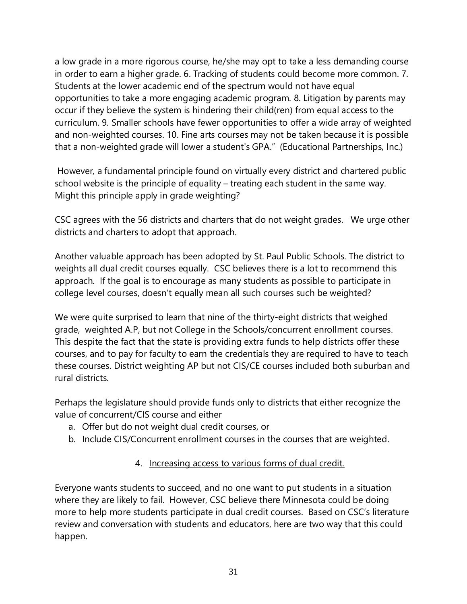a low grade in a more rigorous course, he/she may opt to take a less demanding course in order to earn a higher grade. 6. Tracking of students could become more common. 7. Students at the lower academic end of the spectrum would not have equal opportunities to take a more engaging academic program. 8. Litigation by parents may occur if they believe the system is hindering their child(ren) from equal access to the curriculum. 9. Smaller schools have fewer opportunities to offer a wide array of weighted and non-weighted courses. 10. Fine arts courses may not be taken because it is possible that a non-weighted grade will lower a student's GPA." (Educational Partnerships, Inc.)

However, a fundamental principle found on virtually every district and chartered public school website is the principle of equality – treating each student in the same way. Might this principle apply in grade weighting?

CSC agrees with the 56 districts and charters that do not weight grades. We urge other districts and charters to adopt that approach.

Another valuable approach has been adopted by St. Paul Public Schools. The district to weights all dual credit courses equally. CSC believes there is a lot to recommend this approach. If the goal is to encourage as many students as possible to participate in college level courses, doesn't equally mean all such courses such be weighted?

We were quite surprised to learn that nine of the thirty-eight districts that weighed grade, weighted A.P, but not College in the Schools/concurrent enrollment courses. This despite the fact that the state is providing extra funds to help districts offer these courses, and to pay for faculty to earn the credentials they are required to have to teach these courses. District weighting AP but not CIS/CE courses included both suburban and rural districts.

Perhaps the legislature should provide funds only to districts that either recognize the value of concurrent/CIS course and either

- a. Offer but do not weight dual credit courses, or
- b. Include CIS/Concurrent enrollment courses in the courses that are weighted.

# 4. Increasing access to various forms of dual credit.

Everyone wants students to succeed, and no one want to put students in a situation where they are likely to fail. However, CSC believe there Minnesota could be doing more to help more students participate in dual credit courses. Based on CSC's literature review and conversation with students and educators, here are two way that this could happen.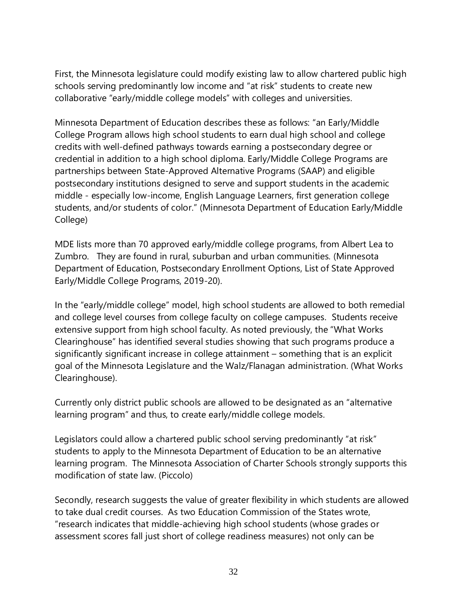First, the Minnesota legislature could modify existing law to allow chartered public high schools serving predominantly low income and "at risk" students to create new collaborative "early/middle college models" with colleges and universities.

Minnesota Department of Education describes these as follows: "an Early/Middle College Program allows high school students to earn dual high school and college credits with well-defined pathways towards earning a postsecondary degree or credential in addition to a high school diploma. Early/Middle College Programs are partnerships between State-Approved Alternative Programs (SAAP) and eligible postsecondary institutions designed to serve and support students in the academic middle - especially low-income, English Language Learners, first generation college students, and/or students of color." (Minnesota Department of Education Early/Middle College)

MDE lists more than 70 approved early/middle college programs, from Albert Lea to Zumbro. They are found in rural, suburban and urban communities. (Minnesota Department of Education, Postsecondary Enrollment Options, List of State Approved Early/Middle College Programs, 2019-20).

In the "early/middle college" model, high school students are allowed to both remedial and college level courses from college faculty on college campuses. Students receive extensive support from high school faculty. As noted previously, the "What Works Clearinghouse" has identified several studies showing that such programs produce a significantly significant increase in college attainment – something that is an explicit goal of the Minnesota Legislature and the Walz/Flanagan administration. (What Works Clearinghouse).

Currently only district public schools are allowed to be designated as an "alternative learning program" and thus, to create early/middle college models.

Legislators could allow a chartered public school serving predominantly "at risk" students to apply to the Minnesota Department of Education to be an alternative learning program. The Minnesota Association of Charter Schools strongly supports this modification of state law. (Piccolo)

Secondly, research suggests the value of greater flexibility in which students are allowed to take dual credit courses. As two Education Commission of the States wrote, "research indicates that middle-achieving high school students (whose grades or assessment scores fall just short of college readiness measures) not only can be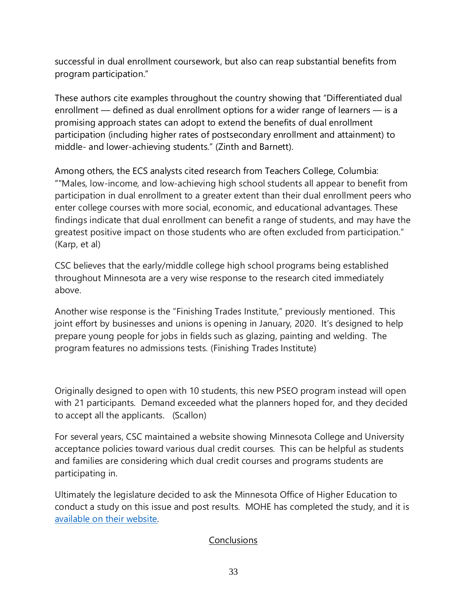successful in dual enrollment coursework, but also can reap substantial benefits from program participation."

These authors cite examples throughout the country showing that "Differentiated dual enrollment — defined as dual enrollment options for a wider range of learners — is a promising approach states can adopt to extend the benefits of dual enrollment participation (including higher rates of postsecondary enrollment and attainment) to middle- and lower-achieving students." (Zinth and Barnett).

Among others, the ECS analysts cited research from Teachers College, Columbia: ""Males, low-income, and low-achieving high school students all appear to benefit from participation in dual enrollment to a greater extent than their dual enrollment peers who enter college courses with more social, economic, and educational advantages. These findings indicate that dual enrollment can benefit a range of students, and may have the greatest positive impact on those students who are often excluded from participation." (Karp, et al)

CSC believes that the early/middle college high school programs being established throughout Minnesota are a very wise response to the research cited immediately above.

Another wise response is the "Finishing Trades Institute," previously mentioned. This joint effort by businesses and unions is opening in January, 2020. It's designed to help prepare young people for jobs in fields such as glazing, painting and welding. The program features no admissions tests. (Finishing Trades Institute)

Originally designed to open with 10 students, this new PSEO program instead will open with 21 participants. Demand exceeded what the planners hoped for, and they decided to accept all the applicants. (Scallon)

For several years, CSC maintained a website showing Minnesota College and University acceptance policies toward various dual credit courses. This can be helpful as students and families are considering which dual credit courses and programs students are participating in.

Ultimately the legislature decided to ask the Minnesota Office of Higher Education to conduct a study on this issue and post results. MOHE has completed the study, and it is [available on their website.](https://www.ohe.state.mn.us/mPg.cfm?pageID=2236) 

# **Conclusions**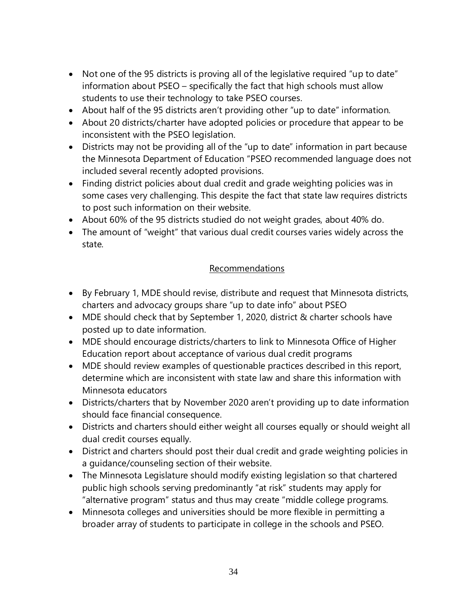- Not one of the 95 districts is proving all of the legislative required "up to date" information about PSEO – specifically the fact that high schools must allow students to use their technology to take PSEO courses.
- About half of the 95 districts aren't providing other "up to date" information.
- About 20 districts/charter have adopted policies or procedure that appear to be inconsistent with the PSEO legislation.
- Districts may not be providing all of the "up to date" information in part because the Minnesota Department of Education "PSEO recommended language does not included several recently adopted provisions.
- Finding district policies about dual credit and grade weighting policies was in some cases very challenging. This despite the fact that state law requires districts to post such information on their website.
- About 60% of the 95 districts studied do not weight grades, about 40% do.
- The amount of "weight" that various dual credit courses varies widely across the state.

#### Recommendations

- By February 1, MDE should revise, distribute and request that Minnesota districts, charters and advocacy groups share "up to date info" about PSEO
- MDE should check that by September 1, 2020, district & charter schools have posted up to date information.
- MDE should encourage districts/charters to link to Minnesota Office of Higher Education report about acceptance of various dual credit programs
- MDE should review examples of questionable practices described in this report, determine which are inconsistent with state law and share this information with Minnesota educators
- Districts/charters that by November 2020 aren't providing up to date information should face financial consequence.
- Districts and charters should either weight all courses equally or should weight all dual credit courses equally.
- District and charters should post their dual credit and grade weighting policies in a guidance/counseling section of their website.
- The Minnesota Legislature should modify existing legislation so that chartered public high schools serving predominantly "at risk" students may apply for "alternative program" status and thus may create "middle college programs.
- Minnesota colleges and universities should be more flexible in permitting a broader array of students to participate in college in the schools and PSEO.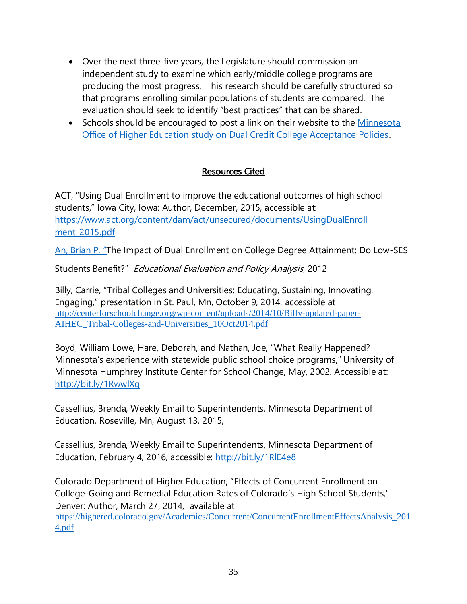- Over the next three-five years, the Legislature should commission an independent study to examine which early/middle college programs are producing the most progress. This research should be carefully structured so that programs enrolling similar populations of students are compared. The evaluation should seek to identify "best practices" that can be shared.
- Schools should be encouraged to post a link on their website to the [Minnesota](https://www.ohe.state.mn.us/mPg.cfm?pageID=2236)  [Office of Higher Education study on Dual Credit College Acceptance Policies.](https://www.ohe.state.mn.us/mPg.cfm?pageID=2236)

# Resources Cited

ACT, "Using Dual Enrollment to improve the educational outcomes of high school students," Iowa City, Iowa: Author, December, 2015, accessible at: [https://www.act.org/content/dam/act/unsecured/documents/UsingDualEnroll](https://www.act.org/content/dam/act/unsecured/documents/UsingDualEnroll%20ment_2015.pdf)  ment 2015.pdf

An, Brian P. "The Impact of Dual Enrollment on College Degree Attainment: Do Low-SES

Students Benefit?" Educational Evaluation and Policy Analysis, 2012

Billy, Carrie, "Tribal Colleges and Universities: Educating, Sustaining, Innovating, Engaging," presentation in St. Paul, Mn, October 9, 2014, accessible at [http://centerforschoolchange.org/wp-content/uploads/2014/10/Billy-updated-paper-](http://centerforschoolchange.org/wp-content/uploads/2014/10/Billy-updated-paper-AIHEC_Tribal-Colleges-and-Universities_10Oct2014.pdf)[AIHEC\\_Tribal-Colleges-and-Universities\\_10Oct2014.pdf](http://centerforschoolchange.org/wp-content/uploads/2014/10/Billy-updated-paper-AIHEC_Tribal-Colleges-and-Universities_10Oct2014.pdf)

Boyd, William Lowe, Hare, Deborah, and Nathan, Joe, "What Really Happened? Minnesota's experience with statewide public school choice programs," University of Minnesota Humphrey Institute Center for School Change, May, 2002. Accessible at: <http://bit.ly/1RwwlXq>

Cassellius, Brenda, Weekly Email to Superintendents, Minnesota Department of Education, Roseville, Mn, August 13, 2015,

Cassellius, Brenda, Weekly Email to Superintendents, Minnesota Department of Education, February 4, 2016, accessible:<http://bit.ly/1RlE4e8>

Colorado Department of Higher Education, "Effects of Concurrent Enrollment on College-Going and Remedial Education Rates of Colorado's High School Students," Denver: Author, March 27, 2014, available at [https://highered.colorado.gov/Academics/Concurrent/ConcurrentEnrollmentEffectsAnalysis\\_201](https://highered.colorado.gov/Academics/Concurrent/ConcurrentEnrollmentEffectsAnalysis_2014.pdf) [4.pdf](https://highered.colorado.gov/Academics/Concurrent/ConcurrentEnrollmentEffectsAnalysis_2014.pdf)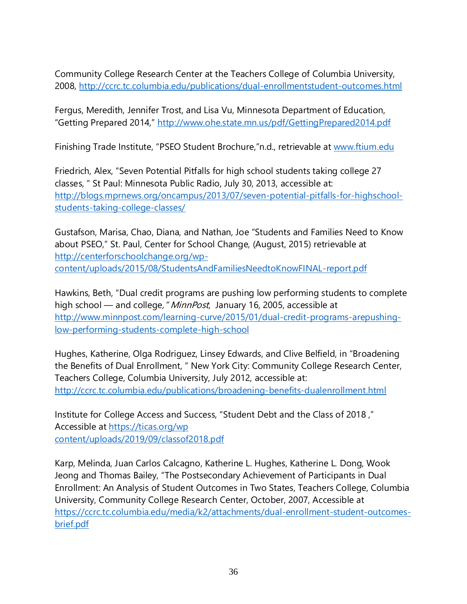Community College Research Center at the Teachers College of Columbia University, 2008,<http://ccrc.tc.columbia.edu/publications/dual-enrollmentstudent-outcomes.html>

Fergus, Meredith, Jennifer Trost, and Lisa Vu, Minnesota Department of Education, "Getting Prepared 2014," <http://www.ohe.state.mn.us/pdf/GettingPrepared2014.pdf>

Finishing Trade Institute, "PSEO Student Brochure,"n.d., retrievable at [www.ftium.edu](http://www.ftium.edu/)

Friedrich, Alex, "Seven Potential Pitfalls for high school students taking college 27 classes, " St Paul: Minnesota Public Radio, July 30, 2013, accessible at: [http://blogs.mprnews.org/oncampus/2013/07/seven-potential-pitfalls-for-highschool](http://blogs.mprnews.org/oncampus/2013/07/seven-potential-pitfalls-for-highschool-students-taking-college-classes/)[students-taking-college-classes/](http://blogs.mprnews.org/oncampus/2013/07/seven-potential-pitfalls-for-highschool-students-taking-college-classes/)

Gustafson, Marisa, Chao, Diana, and Nathan, Joe "Students and Families Need to Know about PSEO," St. Paul, Center for School Change, (August, 2015) retrievable at [http://centerforschoolchange.org/wp](http://centerforschoolchange.org/wp-content/uploads/2015/08/StudentsAndFamiliesNeedtoKnowFINAL-report.pdf)[content/uploads/2015/08/StudentsAndFamiliesNeedtoKnowFINAL-report.pdf](http://centerforschoolchange.org/wp-content/uploads/2015/08/StudentsAndFamiliesNeedtoKnowFINAL-report.pdf)

Hawkins, Beth, "Dual credit programs are pushing low performing students to complete high school — and college, "MinnPost, January 16, 2005, accessible at [http://www.minnpost.com/learning-curve/2015/01/dual-credit-programs-arepushing](http://www.minnpost.com/learning-curve/2015/01/dual-credit-programs-arepushing-low-performing-students-complete-high-school)[low-performing-students-complete-high-school](http://www.minnpost.com/learning-curve/2015/01/dual-credit-programs-arepushing-low-performing-students-complete-high-school)

Hughes, Katherine, Olga Rodriguez, Linsey Edwards, and Clive Belfield, in "Broadening the Benefits of Dual Enrollment, " New York City: Community College Research Center, Teachers College, Columbia University, July 2012, accessible at: <http://ccrc.tc.columbia.edu/publications/broadening-benefits-dualenrollment.html>

Institute for College Access and Success, "Student Debt and the Class of 2018 ," Accessible at [https://ticas.org/wp](https://ticas.org/wpcontent/uploads/2019/09/classof2018.pdf) [content/uploads/2019/09/classof2018.pdf](https://ticas.org/wpcontent/uploads/2019/09/classof2018.pdf)

Karp, Melinda, Juan Carlos Calcagno, Katherine L. Hughes, Katherine L. Dong, Wook Jeong and Thomas Bailey, "The Postsecondary Achievement of Participants in Dual Enrollment: An Analysis of Student Outcomes in Two States, Teachers College, Columbia University, Community College Research Center, October, 2007, Accessible at [https://ccrc.tc.columbia.edu/media/k2/attachments/dual-enrollment-student-outcomes](https://ccrc.tc.columbia.edu/media/k2/attachments/dual-enrollment-student-outcomes-brief.pdf)[brief.pdf](https://ccrc.tc.columbia.edu/media/k2/attachments/dual-enrollment-student-outcomes-brief.pdf)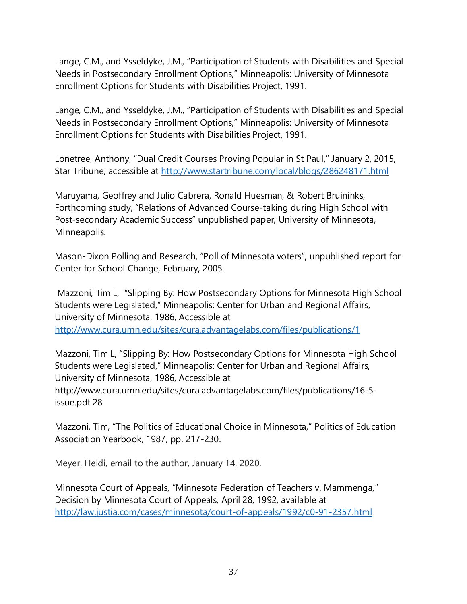Lange, C.M., and Ysseldyke, J.M., "Participation of Students with Disabilities and Special Needs in Postsecondary Enrollment Options," Minneapolis: University of Minnesota Enrollment Options for Students with Disabilities Project, 1991.

Lange, C.M., and Ysseldyke, J.M., "Participation of Students with Disabilities and Special Needs in Postsecondary Enrollment Options," Minneapolis: University of Minnesota Enrollment Options for Students with Disabilities Project, 1991.

Lonetree, Anthony, "Dual Credit Courses Proving Popular in St Paul," January 2, 2015, Star Tribune, accessible at<http://www.startribune.com/local/blogs/286248171.html>

Maruyama, Geoffrey and Julio Cabrera, Ronald Huesman, & Robert Bruininks, Forthcoming study, "Relations of Advanced Course-taking during High School with Post-secondary Academic Success" unpublished paper, University of Minnesota, Minneapolis.

Mason-Dixon Polling and Research, "Poll of Minnesota voters", unpublished report for Center for School Change, February, 2005.

Mazzoni, Tim L, "Slipping By: How Postsecondary Options for Minnesota High School Students were Legislated," Minneapolis: Center for Urban and Regional Affairs, University of Minnesota, 1986, Accessible at <http://www.cura.umn.edu/sites/cura.advantagelabs.com/files/publications/1>

Mazzoni, Tim L, "Slipping By: How Postsecondary Options for Minnesota High School Students were Legislated," Minneapolis: Center for Urban and Regional Affairs, University of Minnesota, 1986, Accessible at http://www.cura.umn.edu/sites/cura.advantagelabs.com/files/publications/16-5 issue.pdf 28

Mazzoni, Tim, "The Politics of Educational Choice in Minnesota," Politics of Education Association Yearbook, 1987, pp. 217-230.

Meyer, Heidi, email to the author, January 14, 2020.

Minnesota Court of Appeals, "Minnesota Federation of Teachers v. Mammenga," Decision by Minnesota Court of Appeals, April 28, 1992, available at <http://law.justia.com/cases/minnesota/court-of-appeals/1992/c0-91-2357.html>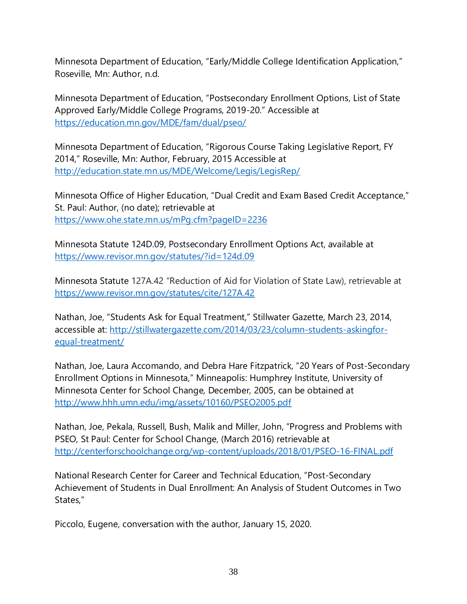Minnesota Department of Education, "Early/Middle College Identification Application," Roseville, Mn: Author, n.d.

Minnesota Department of Education, "Postsecondary Enrollment Options, List of State Approved Early/Middle College Programs, 2019-20." Accessible at <https://education.mn.gov/MDE/fam/dual/pseo/>

Minnesota Department of Education, "Rigorous Course Taking Legislative Report, FY 2014," Roseville, Mn: Author, February, 2015 Accessible at <http://education.state.mn.us/MDE/Welcome/Legis/LegisRep/>

Minnesota Office of Higher Education, "Dual Credit and Exam Based Credit Acceptance," St. Paul: Author, (no date); retrievable at <https://www.ohe.state.mn.us/mPg.cfm?pageID=2236>

Minnesota Statute 124D.09, Postsecondary Enrollment Options Act, available at <https://www.revisor.mn.gov/statutes/?id=124d.09>

Minnesota Statute 127A.42 "Reduction of Aid for Violation of State Law), retrievable at <https://www.revisor.mn.gov/statutes/cite/127A.42>

Nathan, Joe, "Students Ask for Equal Treatment," Stillwater Gazette, March 23, 2014, accessible at: [http://stillwatergazette.com/2014/03/23/column-students-askingfor](http://stillwatergazette.com/2014/03/23/column-students-askingfor-equal-treatment/)[equal-treatment/](http://stillwatergazette.com/2014/03/23/column-students-askingfor-equal-treatment/)

Nathan, Joe, Laura Accomando, and Debra Hare Fitzpatrick, "20 Years of Post-Secondary Enrollment Options in Minnesota," Minneapolis: Humphrey Institute, University of Minnesota Center for School Change, December, 2005, can be obtained at <http://www.hhh.umn.edu/img/assets/10160/PSEO2005.pdf>

Nathan, Joe, Pekala, Russell, Bush, Malik and Miller, John, "Progress and Problems with PSEO, St Paul: Center for School Change, (March 2016) retrievable at <http://centerforschoolchange.org/wp-content/uploads/2018/01/PSEO-16-FINAL.pdf>

National Research Center for Career and Technical Education, "Post-Secondary Achievement of Students in Dual Enrollment: An Analysis of Student Outcomes in Two States,"

Piccolo, Eugene, conversation with the author, January 15, 2020.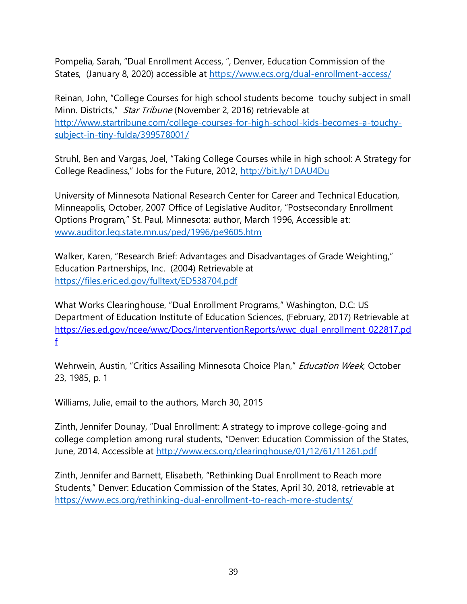Pompelia, Sarah, "Dual Enrollment Access, ", Denver, Education Commission of the States, (January 8, 2020) accessible at<https://www.ecs.org/dual-enrollment-access/>

Reinan, John, "College Courses for high school students become touchy subject in small Minn. Districts," Star Tribune (November 2, 2016) retrievable at [http://www.startribune.com/college-courses-for-high-school-kids-becomes-a-touchy](http://www.startribune.com/college-courses-for-high-school-kids-becomes-a-touchy-subject-in-tiny-fulda/399578001/)[subject-in-tiny-fulda/399578001/](http://www.startribune.com/college-courses-for-high-school-kids-becomes-a-touchy-subject-in-tiny-fulda/399578001/)

Struhl, Ben and Vargas, Joel, "Taking College Courses while in high school: A Strategy for College Readiness," Jobs for the Future, 2012, <http://bit.ly/1DAU4Du>

University of Minnesota National Research Center for Career and Technical Education, Minneapolis, October, 2007 Office of Legislative Auditor, "Postsecondary Enrollment Options Program," St. Paul, Minnesota: author, March 1996, Accessible at: [www.auditor.leg.state.mn.us/ped/1996/pe9605.htm](http://www.auditor.leg.state.mn.us/ped/1996/pe9605.htm)

Walker, Karen, "Research Brief: Advantages and Disadvantages of Grade Weighting," Education Partnerships, Inc. (2004) Retrievable at <https://files.eric.ed.gov/fulltext/ED538704.pdf>

What Works Clearinghouse, "Dual Enrollment Programs," Washington, D.C: US Department of Education Institute of Education Sciences, (February, 2017) Retrievable at [https://ies.ed.gov/ncee/wwc/Docs/InterventionReports/wwc\\_dual\\_enrollment\\_022817.pd](https://ies.ed.gov/ncee/wwc/Docs/InterventionReports/wwc_dual_enrollment_022817.pdf) [f](https://ies.ed.gov/ncee/wwc/Docs/InterventionReports/wwc_dual_enrollment_022817.pdf)

Wehrwein, Austin, "Critics Assailing Minnesota Choice Plan," *Education Week*, October 23, 1985, p. 1

Williams, Julie, email to the authors, March 30, 2015

Zinth, Jennifer Dounay, "Dual Enrollment: A strategy to improve college-going and college completion among rural students, "Denver: Education Commission of the States, June, 2014. Accessible at<http://www.ecs.org/clearinghouse/01/12/61/11261.pdf>

Zinth, Jennifer and Barnett, Elisabeth, "Rethinking Dual Enrollment to Reach more Students," Denver: Education Commission of the States, April 30, 2018, retrievable at <https://www.ecs.org/rethinking-dual-enrollment-to-reach-more-students/>